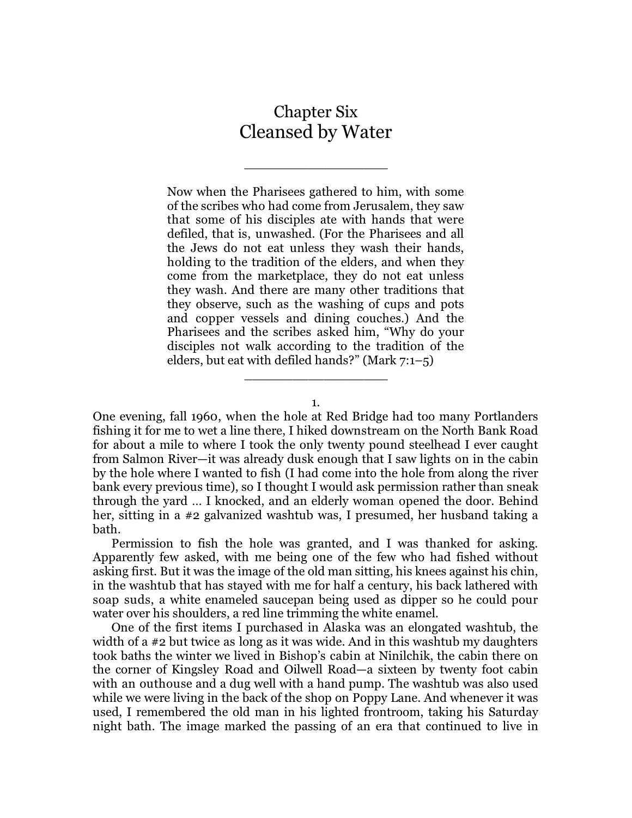## Chapter Six Cleansed by Water

\_\_\_\_\_\_\_\_\_\_\_\_\_\_\_\_\_\_

Now when the Pharisees gathered to him, with some of the scribes who had come from Jerusalem, they saw that some of his disciples ate with hands that were defiled, that is, unwashed. (For the Pharisees and all the Jews do not eat unless they wash their hands, holding to the tradition of the elders, and when they come from the marketplace, they do not eat unless they wash. And there are many other traditions that they observe, such as the washing of cups and pots and copper vessels and dining couches.) And the Pharisees and the scribes asked him, "Why do your disciples not walk according to the tradition of the elders, but eat with defiled hands?" (Mark 7:1–5)

1.

\_\_\_\_\_\_\_\_\_\_\_\_\_\_\_\_\_\_

One evening, fall 1960, when the hole at Red Bridge had too many Portlanders fishing it for me to wet a line there, I hiked downstream on the North Bank Road for about a mile to where I took the only twenty pound steelhead I ever caught from Salmon River—it was already dusk enough that I saw lights on in the cabin by the hole where I wanted to fish (I had come into the hole from along the river bank every previous time), so I thought I would ask permission rather than sneak through the yard … I knocked, and an elderly woman opened the door. Behind her, sitting in a #2 galvanized washtub was, I presumed, her husband taking a bath.

Permission to fish the hole was granted, and I was thanked for asking. Apparently few asked, with me being one of the few who had fished without asking first. But it was the image of the old man sitting, his knees against his chin, in the washtub that has stayed with me for half a century, his back lathered with soap suds, a white enameled saucepan being used as dipper so he could pour water over his shoulders, a red line trimming the white enamel.

One of the first items I purchased in Alaska was an elongated washtub, the width of a #2 but twice as long as it was wide. And in this washtub my daughters took baths the winter we lived in Bishop's cabin at Ninilchik, the cabin there on the corner of Kingsley Road and Oilwell Road—a sixteen by twenty foot cabin with an outhouse and a dug well with a hand pump. The washtub was also used while we were living in the back of the shop on Poppy Lane. And whenever it was used, I remembered the old man in his lighted frontroom, taking his Saturday night bath. The image marked the passing of an era that continued to live in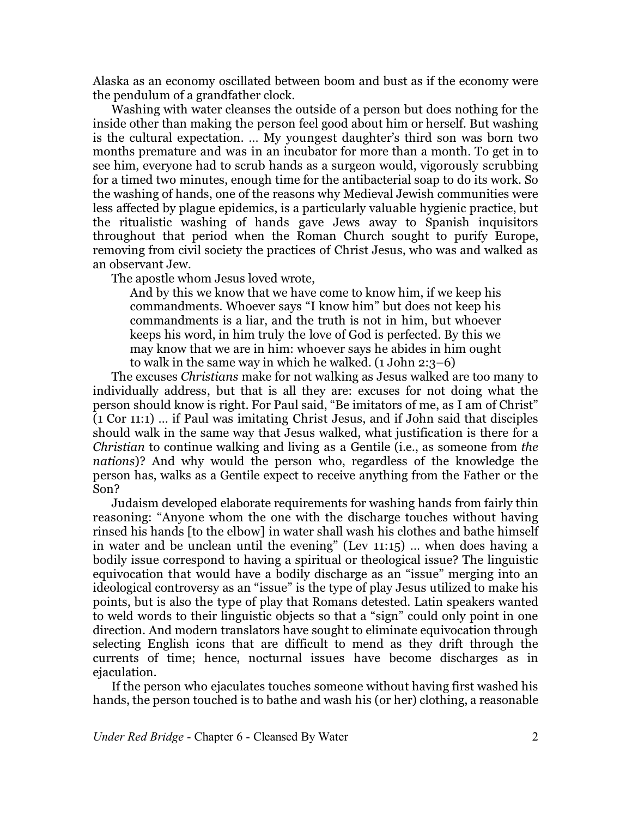Alaska as an economy oscillated between boom and bust as if the economy were the pendulum of a grandfather clock.

Washing with water cleanses the outside of a person but does nothing for the inside other than making the person feel good about him or herself. But washing is the cultural expectation. … My youngest daughter's third son was born two months premature and was in an incubator for more than a month. To get in to see him, everyone had to scrub hands as a surgeon would, vigorously scrubbing for a timed two minutes, enough time for the antibacterial soap to do its work. So the washing of hands, one of the reasons why Medieval Jewish communities were less affected by plague epidemics, is a particularly valuable hygienic practice, but the ritualistic washing of hands gave Jews away to Spanish inquisitors throughout that period when the Roman Church sought to purify Europe, removing from civil society the practices of Christ Jesus, who was and walked as an observant Jew.

The apostle whom Jesus loved wrote,

And by this we know that we have come to know him, if we keep his commandments. Whoever says "I know him" but does not keep his commandments is a liar, and the truth is not in him, but whoever keeps his word, in him truly the love of God is perfected. By this we may know that we are in him: whoever says he abides in him ought to walk in the same way in which he walked. (1 John 2:3–6)

The excuses *Christians* make for not walking as Jesus walked are too many to individually address, but that is all they are: excuses for not doing what the person should know is right. For Paul said, "Be imitators of me, as I am of Christ" (1 Cor 11:1) … if Paul was imitating Christ Jesus, and if John said that disciples should walk in the same way that Jesus walked, what justification is there for a *Christian* to continue walking and living as a Gentile (i.e., as someone from *the nations*)? And why would the person who, regardless of the knowledge the person has, walks as a Gentile expect to receive anything from the Father or the Son?

Judaism developed elaborate requirements for washing hands from fairly thin reasoning: "Anyone whom the one with the discharge touches without having rinsed his hands [to the elbow] in water shall wash his clothes and bathe himself in water and be unclean until the evening" (Lev 11:15) … when does having a bodily issue correspond to having a spiritual or theological issue? The linguistic equivocation that would have a bodily discharge as an "issue" merging into an ideological controversy as an "issue" is the type of play Jesus utilized to make his points, but is also the type of play that Romans detested. Latin speakers wanted to weld words to their linguistic objects so that a "sign" could only point in one direction. And modern translators have sought to eliminate equivocation through selecting English icons that are difficult to mend as they drift through the currents of time; hence, nocturnal issues have become discharges as in ejaculation.

If the person who ejaculates touches someone without having first washed his hands, the person touched is to bathe and wash his (or her) clothing, a reasonable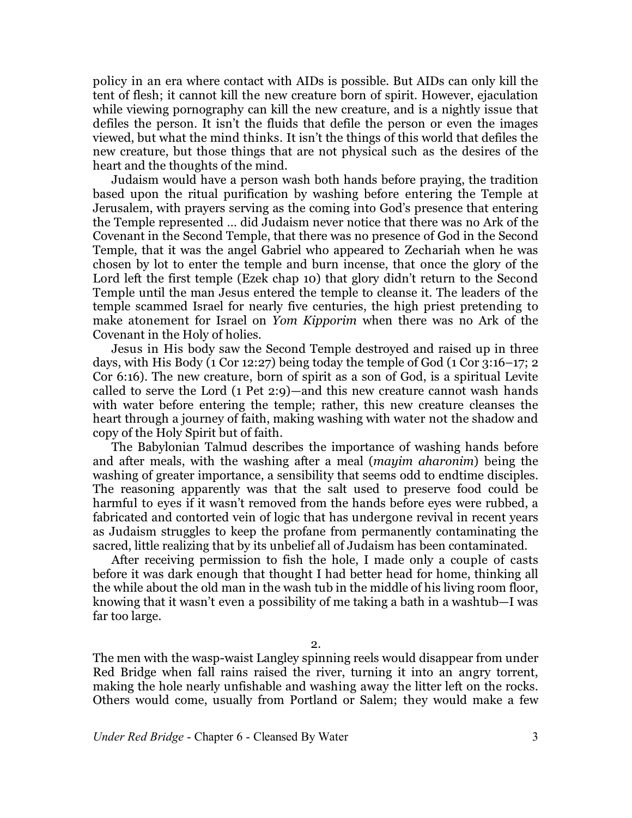policy in an era where contact with AIDs is possible. But AIDs can only kill the tent of flesh; it cannot kill the new creature born of spirit. However, ejaculation while viewing pornography can kill the new creature, and is a nightly issue that defiles the person. It isn't the fluids that defile the person or even the images viewed, but what the mind thinks. It isn't the things of this world that defiles the new creature, but those things that are not physical such as the desires of the heart and the thoughts of the mind.

Judaism would have a person wash both hands before praying, the tradition based upon the ritual purification by washing before entering the Temple at Jerusalem, with prayers serving as the coming into God's presence that entering the Temple represented … did Judaism never notice that there was no Ark of the Covenant in the Second Temple, that there was no presence of God in the Second Temple, that it was the angel Gabriel who appeared to Zechariah when he was chosen by lot to enter the temple and burn incense, that once the glory of the Lord left the first temple (Ezek chap 10) that glory didn't return to the Second Temple until the man Jesus entered the temple to cleanse it. The leaders of the temple scammed Israel for nearly five centuries, the high priest pretending to make atonement for Israel on *Yom Kipporim* when there was no Ark of the Covenant in the Holy of holies.

Jesus in His body saw the Second Temple destroyed and raised up in three days, with His Body (1 Cor 12:27) being today the temple of God (1 Cor 3:16–17; 2 Cor 6:16). The new creature, born of spirit as a son of God, is a spiritual Levite called to serve the Lord (1 Pet 2:9)—and this new creature cannot wash hands with water before entering the temple; rather, this new creature cleanses the heart through a journey of faith, making washing with water not the shadow and copy of the Holy Spirit but of faith.

The Babylonian Talmud describes the importance of washing hands before and after meals, with the washing after a meal (*mayim aharonim*) being the washing of greater importance, a sensibility that seems odd to endtime disciples. The reasoning apparently was that the salt used to preserve food could be harmful to eyes if it wasn't removed from the hands before eyes were rubbed, a fabricated and contorted vein of logic that has undergone revival in recent years as Judaism struggles to keep the profane from permanently contaminating the sacred, little realizing that by its unbelief all of Judaism has been contaminated.

After receiving permission to fish the hole, I made only a couple of casts before it was dark enough that thought I had better head for home, thinking all the while about the old man in the wash tub in the middle of his living room floor, knowing that it wasn't even a possibility of me taking a bath in a washtub—I was far too large.

2.

The men with the wasp-waist Langley spinning reels would disappear from under Red Bridge when fall rains raised the river, turning it into an angry torrent, making the hole nearly unfishable and washing away the litter left on the rocks. Others would come, usually from Portland or Salem; they would make a few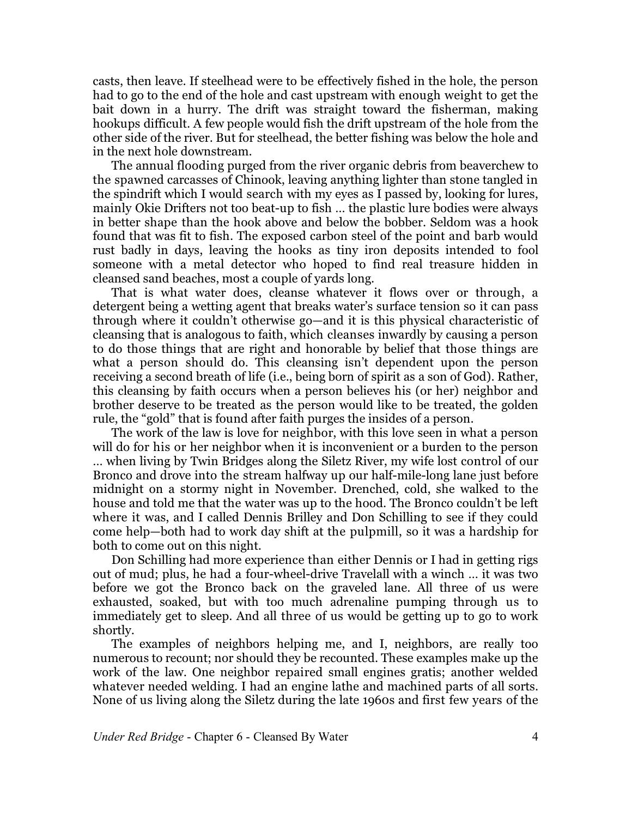casts, then leave. If steelhead were to be effectively fished in the hole, the person had to go to the end of the hole and cast upstream with enough weight to get the bait down in a hurry. The drift was straight toward the fisherman, making hookups difficult. A few people would fish the drift upstream of the hole from the other side of the river. But for steelhead, the better fishing was below the hole and in the next hole downstream.

The annual flooding purged from the river organic debris from beaverchew to the spawned carcasses of Chinook, leaving anything lighter than stone tangled in the spindrift which I would search with my eyes as I passed by, looking for lures, mainly Okie Drifters not too beat-up to fish … the plastic lure bodies were always in better shape than the hook above and below the bobber. Seldom was a hook found that was fit to fish. The exposed carbon steel of the point and barb would rust badly in days, leaving the hooks as tiny iron deposits intended to fool someone with a metal detector who hoped to find real treasure hidden in cleansed sand beaches, most a couple of yards long.

That is what water does, cleanse whatever it flows over or through, a detergent being a wetting agent that breaks water's surface tension so it can pass through where it couldn't otherwise go—and it is this physical characteristic of cleansing that is analogous to faith, which cleanses inwardly by causing a person to do those things that are right and honorable by belief that those things are what a person should do. This cleansing isn't dependent upon the person receiving a second breath of life (i.e., being born of spirit as a son of God). Rather, this cleansing by faith occurs when a person believes his (or her) neighbor and brother deserve to be treated as the person would like to be treated, the golden rule, the "gold" that is found after faith purges the insides of a person.

The work of the law is love for neighbor, with this love seen in what a person will do for his or her neighbor when it is inconvenient or a burden to the person … when living by Twin Bridges along the Siletz River, my wife lost control of our Bronco and drove into the stream halfway up our half-mile-long lane just before midnight on a stormy night in November. Drenched, cold, she walked to the house and told me that the water was up to the hood. The Bronco couldn't be left where it was, and I called Dennis Brilley and Don Schilling to see if they could come help—both had to work day shift at the pulpmill, so it was a hardship for both to come out on this night.

Don Schilling had more experience than either Dennis or I had in getting rigs out of mud; plus, he had a four-wheel-drive Travelall with a winch … it was two before we got the Bronco back on the graveled lane. All three of us were exhausted, soaked, but with too much adrenaline pumping through us to immediately get to sleep. And all three of us would be getting up to go to work shortly.

The examples of neighbors helping me, and I, neighbors, are really too numerous to recount; nor should they be recounted. These examples make up the work of the law. One neighbor repaired small engines gratis; another welded whatever needed welding. I had an engine lathe and machined parts of all sorts. None of us living along the Siletz during the late 1960s and first few years of the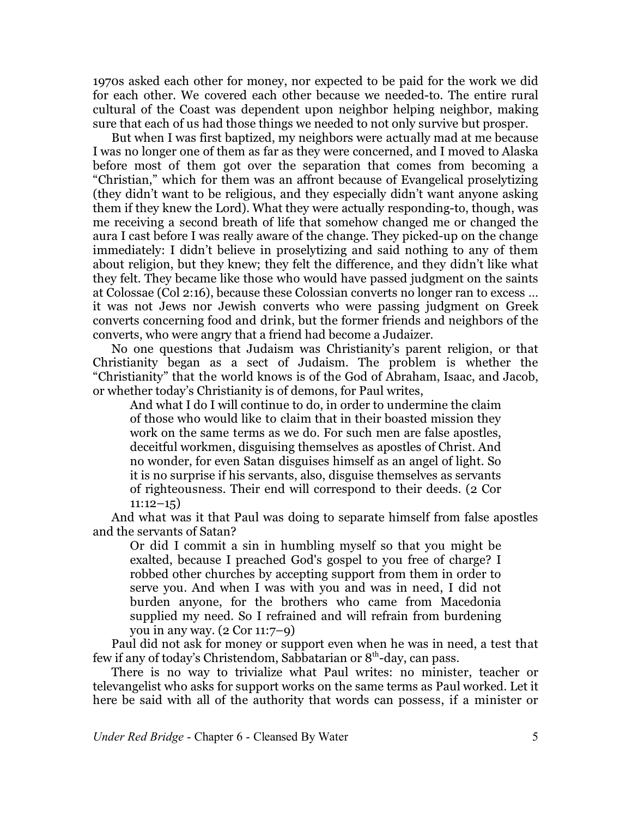1970s asked each other for money, nor expected to be paid for the work we did for each other. We covered each other because we needed-to. The entire rural cultural of the Coast was dependent upon neighbor helping neighbor, making sure that each of us had those things we needed to not only survive but prosper.

But when I was first baptized, my neighbors were actually mad at me because I was no longer one of them as far as they were concerned, and I moved to Alaska before most of them got over the separation that comes from becoming a "Christian," which for them was an affront because of Evangelical proselytizing (they didn't want to be religious, and they especially didn't want anyone asking them if they knew the Lord). What they were actually responding-to, though, was me receiving a second breath of life that somehow changed me or changed the aura I cast before I was really aware of the change. They picked-up on the change immediately: I didn't believe in proselytizing and said nothing to any of them about religion, but they knew; they felt the difference, and they didn't like what they felt. They became like those who would have passed judgment on the saints at Colossae (Col 2:16), because these Colossian converts no longer ran to excess … it was not Jews nor Jewish converts who were passing judgment on Greek converts concerning food and drink, but the former friends and neighbors of the converts, who were angry that a friend had become a Judaizer.

No one questions that Judaism was Christianity's parent religion, or that Christianity began as a sect of Judaism. The problem is whether the "Christianity" that the world knows is of the God of Abraham, Isaac, and Jacob, or whether today's Christianity is of demons, for Paul writes,

And what I do I will continue to do, in order to undermine the claim of those who would like to claim that in their boasted mission they work on the same terms as we do. For such men are false apostles, deceitful workmen, disguising themselves as apostles of Christ. And no wonder, for even Satan disguises himself as an angel of light. So it is no surprise if his servants, also, disguise themselves as servants of righteousness. Their end will correspond to their deeds. (2 Cor  $11:12-15)$ 

And what was it that Paul was doing to separate himself from false apostles and the servants of Satan?

Or did I commit a sin in humbling myself so that you might be exalted, because I preached God's gospel to you free of charge? I robbed other churches by accepting support from them in order to serve you. And when I was with you and was in need, I did not burden anyone, for the brothers who came from Macedonia supplied my need. So I refrained and will refrain from burdening you in any way. (2 Cor 11:7–9)

Paul did not ask for money or support even when he was in need, a test that few if any of today's Christendom, Sabbatarian or  $8<sup>th</sup>$ -day, can pass.

There is no way to trivialize what Paul writes: no minister, teacher or televangelist who asks for support works on the same terms as Paul worked. Let it here be said with all of the authority that words can possess, if a minister or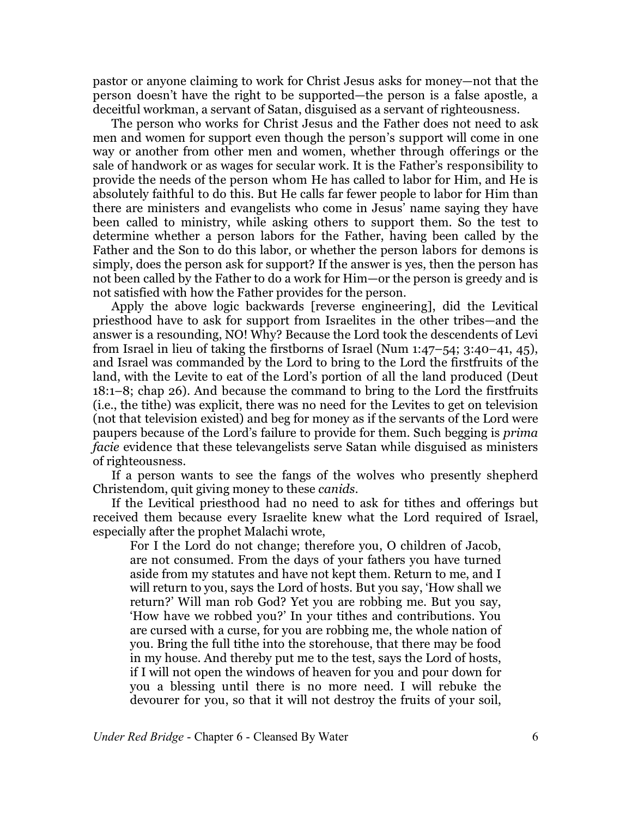pastor or anyone claiming to work for Christ Jesus asks for money—not that the person doesn't have the right to be supported—the person is a false apostle, a deceitful workman, a servant of Satan, disguised as a servant of righteousness.

The person who works for Christ Jesus and the Father does not need to ask men and women for support even though the person's support will come in one way or another from other men and women, whether through offerings or the sale of handwork or as wages for secular work. It is the Father's responsibility to provide the needs of the person whom He has called to labor for Him, and He is absolutely faithful to do this. But He calls far fewer people to labor for Him than there are ministers and evangelists who come in Jesus' name saying they have been called to ministry, while asking others to support them. So the test to determine whether a person labors for the Father, having been called by the Father and the Son to do this labor, or whether the person labors for demons is simply, does the person ask for support? If the answer is yes, then the person has not been called by the Father to do a work for Him—or the person is greedy and is not satisfied with how the Father provides for the person.

Apply the above logic backwards [reverse engineering], did the Levitical priesthood have to ask for support from Israelites in the other tribes—and the answer is a resounding, NO! Why? Because the Lord took the descendents of Levi from Israel in lieu of taking the firstborns of Israel (Num 1:47–54; 3:40–41, 45), and Israel was commanded by the Lord to bring to the Lord the firstfruits of the land, with the Levite to eat of the Lord's portion of all the land produced (Deut 18:1–8; chap 26). And because the command to bring to the Lord the firstfruits (i.e., the tithe) was explicit, there was no need for the Levites to get on television (not that television existed) and beg for money as if the servants of the Lord were paupers because of the Lord's failure to provide for them. Such begging is *prima facie* evidence that these televangelists serve Satan while disguised as ministers of righteousness.

If a person wants to see the fangs of the wolves who presently shepherd Christendom, quit giving money to these *canids*.

If the Levitical priesthood had no need to ask for tithes and offerings but received them because every Israelite knew what the Lord required of Israel, especially after the prophet Malachi wrote,

For I the Lord do not change; therefore you, O children of Jacob, are not consumed. From the days of your fathers you have turned aside from my statutes and have not kept them. Return to me, and I will return to you, says the Lord of hosts. But you say, 'How shall we return?' Will man rob God? Yet you are robbing me. But you say, 'How have we robbed you?' In your tithes and contributions. You are cursed with a curse, for you are robbing me, the whole nation of you. Bring the full tithe into the storehouse, that there may be food in my house. And thereby put me to the test, says the Lord of hosts, if I will not open the windows of heaven for you and pour down for you a blessing until there is no more need. I will rebuke the devourer for you, so that it will not destroy the fruits of your soil,

*Under Red Bridge* - Chapter 6 - Cleansed By Water 6 6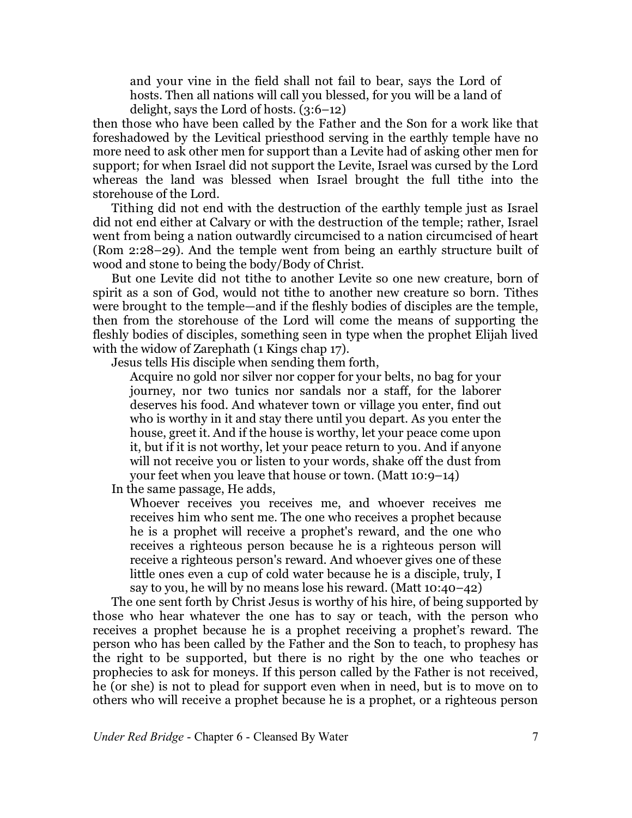and your vine in the field shall not fail to bear, says the Lord of hosts. Then all nations will call you blessed, for you will be a land of delight, says the Lord of hosts.  $(3.6-12)$ 

then those who have been called by the Father and the Son for a work like that foreshadowed by the Levitical priesthood serving in the earthly temple have no more need to ask other men for support than a Levite had of asking other men for support; for when Israel did not support the Levite, Israel was cursed by the Lord whereas the land was blessed when Israel brought the full tithe into the storehouse of the Lord.

Tithing did not end with the destruction of the earthly temple just as Israel did not end either at Calvary or with the destruction of the temple; rather, Israel went from being a nation outwardly circumcised to a nation circumcised of heart (Rom 2:28–29). And the temple went from being an earthly structure built of wood and stone to being the body/Body of Christ.

But one Levite did not tithe to another Levite so one new creature, born of spirit as a son of God, would not tithe to another new creature so born. Tithes were brought to the temple—and if the fleshly bodies of disciples are the temple, then from the storehouse of the Lord will come the means of supporting the fleshly bodies of disciples, something seen in type when the prophet Elijah lived with the widow of Zarephath (1 Kings chap 17).

Jesus tells His disciple when sending them forth,

Acquire no gold nor silver nor copper for your belts, no bag for your journey, nor two tunics nor sandals nor a staff, for the laborer deserves his food. And whatever town or village you enter, find out who is worthy in it and stay there until you depart. As you enter the house, greet it. And if the house is worthy, let your peace come upon it, but if it is not worthy, let your peace return to you. And if anyone will not receive you or listen to your words, shake off the dust from your feet when you leave that house or town. (Matt 10:9–14)

In the same passage, He adds,

Whoever receives you receives me, and whoever receives me receives him who sent me. The one who receives a prophet because he is a prophet will receive a prophet's reward, and the one who receives a righteous person because he is a righteous person will receive a righteous person's reward. And whoever gives one of these little ones even a cup of cold water because he is a disciple, truly, I say to you, he will by no means lose his reward. (Matt 10:40–42)

The one sent forth by Christ Jesus is worthy of his hire, of being supported by those who hear whatever the one has to say or teach, with the person who receives a prophet because he is a prophet receiving a prophet's reward. The person who has been called by the Father and the Son to teach, to prophesy has the right to be supported, but there is no right by the one who teaches or prophecies to ask for moneys. If this person called by the Father is not received, he (or she) is not to plead for support even when in need, but is to move on to others who will receive a prophet because he is a prophet, or a righteous person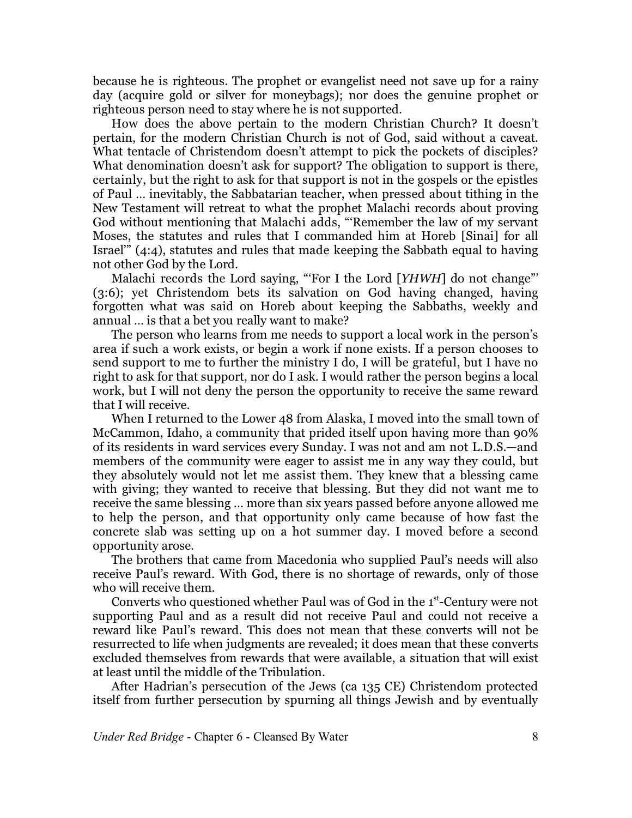because he is righteous. The prophet or evangelist need not save up for a rainy day (acquire gold or silver for moneybags); nor does the genuine prophet or righteous person need to stay where he is not supported.

How does the above pertain to the modern Christian Church? It doesn't pertain, for the modern Christian Church is not of God, said without a caveat. What tentacle of Christendom doesn't attempt to pick the pockets of disciples? What denomination doesn't ask for support? The obligation to support is there, certainly, but the right to ask for that support is not in the gospels or the epistles of Paul … inevitably, the Sabbatarian teacher, when pressed about tithing in the New Testament will retreat to what the prophet Malachi records about proving God without mentioning that Malachi adds, "'Remember the law of my servant Moses, the statutes and rules that I commanded him at Horeb [Sinai] for all Israel'" (4:4), statutes and rules that made keeping the Sabbath equal to having not other God by the Lord.

Malachi records the Lord saying, "'For I the Lord [*YHWH*] do not change"' (3:6); yet Christendom bets its salvation on God having changed, having forgotten what was said on Horeb about keeping the Sabbaths, weekly and annual … is that a bet you really want to make?

The person who learns from me needs to support a local work in the person's area if such a work exists, or begin a work if none exists. If a person chooses to send support to me to further the ministry I do, I will be grateful, but I have no right to ask for that support, nor do I ask. I would rather the person begins a local work, but I will not deny the person the opportunity to receive the same reward that I will receive.

When I returned to the Lower 48 from Alaska, I moved into the small town of McCammon, Idaho, a community that prided itself upon having more than 90% of its residents in ward services every Sunday. I was not and am not L.D.S.—and members of the community were eager to assist me in any way they could, but they absolutely would not let me assist them. They knew that a blessing came with giving; they wanted to receive that blessing. But they did not want me to receive the same blessing … more than six years passed before anyone allowed me to help the person, and that opportunity only came because of how fast the concrete slab was setting up on a hot summer day. I moved before a second opportunity arose.

The brothers that came from Macedonia who supplied Paul's needs will also receive Paul's reward. With God, there is no shortage of rewards, only of those who will receive them.

Converts who questioned whether Paul was of God in the 1st-Century were not supporting Paul and as a result did not receive Paul and could not receive a reward like Paul's reward. This does not mean that these converts will not be resurrected to life when judgments are revealed; it does mean that these converts excluded themselves from rewards that were available, a situation that will exist at least until the middle of the Tribulation.

After Hadrian's persecution of the Jews (ca 135 CE) Christendom protected itself from further persecution by spurning all things Jewish and by eventually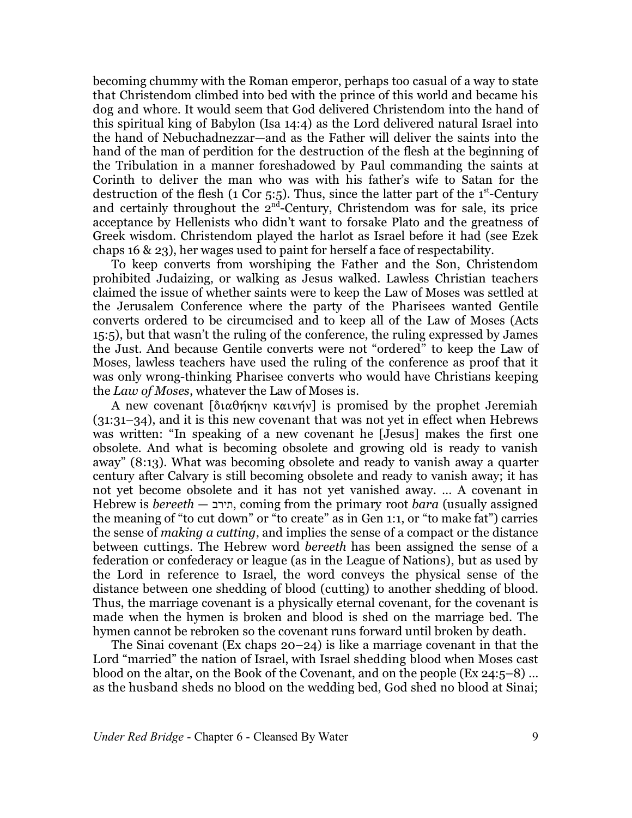becoming chummy with the Roman emperor, perhaps too casual of a way to state that Christendom climbed into bed with the prince of this world and became his dog and whore. It would seem that God delivered Christendom into the hand of this spiritual king of Babylon (Isa 14:4) as the Lord delivered natural Israel into the hand of Nebuchadnezzar—and as the Father will deliver the saints into the hand of the man of perdition for the destruction of the flesh at the beginning of the Tribulation in a manner foreshadowed by Paul commanding the saints at Corinth to deliver the man who was with his father's wife to Satan for the destruction of the flesh (1 Cor 5:5). Thus, since the latter part of the 1<sup>st</sup>-Century and certainly throughout the  $2<sup>nd</sup>$ -Century, Christendom was for sale, its price acceptance by Hellenists who didn't want to forsake Plato and the greatness of Greek wisdom. Christendom played the harlot as Israel before it had (see Ezek chaps 16 & 23), her wages used to paint for herself a face of respectability.

To keep converts from worshiping the Father and the Son, Christendom prohibited Judaizing, or walking as Jesus walked. Lawless Christian teachers claimed the issue of whether saints were to keep the Law of Moses was settled at the Jerusalem Conference where the party of the Pharisees wanted Gentile converts ordered to be circumcised and to keep all of the Law of Moses (Acts 15:5), but that wasn't the ruling of the conference, the ruling expressed by James the Just. And because Gentile converts were not "ordered" to keep the Law of Moses, lawless teachers have used the ruling of the conference as proof that it was only wrong-thinking Pharisee converts who would have Christians keeping the *Law of Moses*, whatever the Law of Moses is.

A new covenant  $\left[\delta_{\mu}\right]$   $\left[\delta_{\mu}\right]$  and  $\left[\delta_{\mu}\right]$  is promised by the prophet Jeremiah (31:31–34), and it is this new covenant that was not yet in effect when Hebrews was written: "In speaking of a new covenant he [Jesus] makes the first one obsolete. And what is becoming obsolete and growing old is ready to vanish away" (8:13). What was becoming obsolete and ready to vanish away a quarter century after Calvary is still becoming obsolete and ready to vanish away; it has not yet become obsolete and it has not yet vanished away. … A covenant in Hebrew is *bereeth* — הירב, coming from the primary root *bara* (usually assigned the meaning of "to cut down" or "to create" as in Gen 1:1, or "to make fat") carries the sense of *making a cutting*, and implies the sense of a compact or the distance between cuttings. The Hebrew word *bereeth* has been assigned the sense of a federation or confederacy or league (as in the League of Nations), but as used by the Lord in reference to Israel, the word conveys the physical sense of the distance between one shedding of blood (cutting) to another shedding of blood. Thus, the marriage covenant is a physically eternal covenant, for the covenant is made when the hymen is broken and blood is shed on the marriage bed. The hymen cannot be rebroken so the covenant runs forward until broken by death.

The Sinai covenant (Ex chaps  $20-24$ ) is like a marriage covenant in that the Lord "married" the nation of Israel, with Israel shedding blood when Moses cast blood on the altar, on the Book of the Covenant, and on the people (Ex 24:5–8) … as the husband sheds no blood on the wedding bed, God shed no blood at Sinai;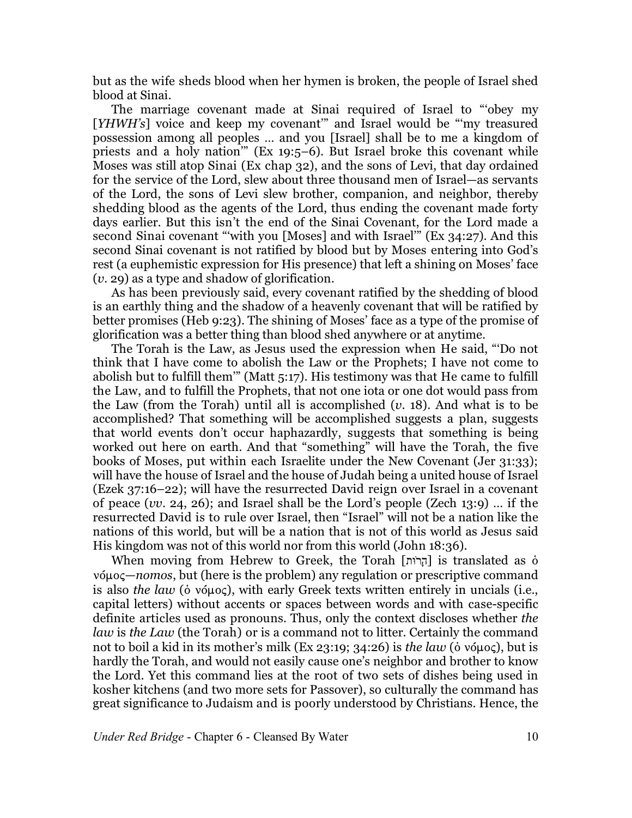but as the wife sheds blood when her hymen is broken, the people of Israel shed blood at Sinai.

The marriage covenant made at Sinai required of Israel to "'obey my [*YHWH*'s] voice and keep my covenant<sup>"</sup> and Israel would be "my treasured" possession among all peoples … and you [Israel] shall be to me a kingdom of priests and a holy nation'" (Ex 19:5–6). But Israel broke this covenant while Moses was still atop Sinai (Ex chap 32), and the sons of Levi, that day ordained for the service of the Lord, slew about three thousand men of Israel—as servants of the Lord, the sons of Levi slew brother, companion, and neighbor, thereby shedding blood as the agents of the Lord, thus ending the covenant made forty days earlier. But this isn't the end of the Sinai Covenant, for the Lord made a second Sinai covenant "'with you [Moses] and with Israel'" (Ex 34:27). And this second Sinai covenant is not ratified by blood but by Moses entering into God's rest (a euphemistic expression for His presence) that left a shining on Moses' face (*v.* 29) as a type and shadow of glorification.

As has been previously said, every covenant ratified by the shedding of blood is an earthly thing and the shadow of a heavenly covenant that will be ratified by better promises (Heb 9:23). The shining of Moses' face as a type of the promise of glorification was a better thing than blood shed anywhere or at anytime.

The Torah is the Law, as Jesus used the expression when He said, "'Do not think that I have come to abolish the Law or the Prophets; I have not come to abolish but to fulfill them'" (Matt 5:17). His testimony was that He came to fulfill the Law, and to fulfill the Prophets, that not one iota or one dot would pass from the Law (from the Torah) until all is accomplished (*v*. 18). And what is to be accomplished? That something will be accomplished suggests a plan, suggests that world events don't occur haphazardly, suggests that something is being worked out here on earth. And that "something" will have the Torah, the five books of Moses, put within each Israelite under the New Covenant (Jer 31:33); will have the house of Israel and the house of Judah being a united house of Israel (Ezek 37:16–22); will have the resurrected David reign over Israel in a covenant of peace (*vv*. 24, 26); and Israel shall be the Lord's people (Zech 13:9) … if the resurrected David is to rule over Israel, then "Israel" will not be a nation like the nations of this world, but will be a nation that is not of this world as Jesus said His kingdom was not of this world nor from this world (John 18:36).

When moving from Hebrew to Greek, the Torah [קְרוֹת] is translated as ò  $\phi$ <sub>100</sub> $\phi$ -*nomos*, but (here is the problem) any regulation or prescriptive command is also *the law* (δ νόμος), with early Greek texts written entirely in uncials (i.e., capital letters) without accents or spaces between words and with case-specific definite articles used as pronouns. Thus, only the context discloses whether *the law* is *the Law* (the Torah) or is a command not to litter. Certainly the command not to boil a kid in its mother's milk (Ex 23:19; 34:26) is *the law* (ὁ νόμος), but is hardly the Torah, and would not easily cause one's neighbor and brother to know the Lord. Yet this command lies at the root of two sets of dishes being used in kosher kitchens (and two more sets for Passover), so culturally the command has great significance to Judaism and is poorly understood by Christians. Hence, the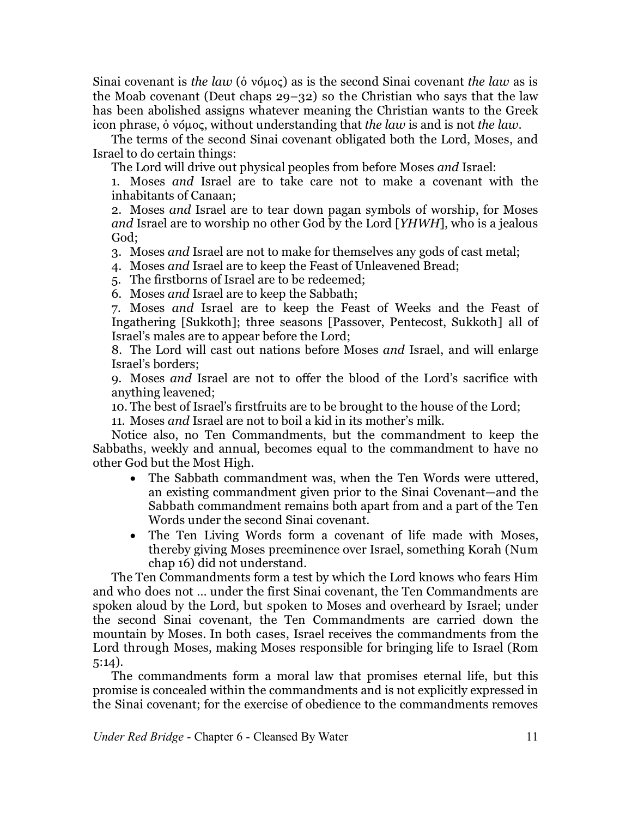Sinai covenant is *the law* ( $\dot{\text{o}}$  v $\acute{\text{o}}\mu$  $\text{o}$ ) as is the second Sinai covenant *the law* as is the Moab covenant (Deut chaps 29–32) so the Christian who says that the law has been abolished assigns whatever meaning the Christian wants to the Greek icon phrase, <u>δ</u> νόμος, without understanding that *the law* is and is not *the law*.

The terms of the second Sinai covenant obligated both the Lord, Moses, and Israel to do certain things:

The Lord will drive out physical peoples from before Moses *and* Israel:

1. Moses *and* Israel are to take care not to make a covenant with the inhabitants of Canaan;

2. Moses *and* Israel are to tear down pagan symbols of worship, for Moses *and* Israel are to worship no other God by the Lord [*YHWH*], who is a jealous God;

3. Moses *and* Israel are not to make for themselves any gods of cast metal;

4. Moses *and* Israel are to keep the Feast of Unleavened Bread;

5. The firstborns of Israel are to be redeemed;

6. Moses *and* Israel are to keep the Sabbath;

7. Moses *and* Israel are to keep the Feast of Weeks and the Feast of Ingathering [Sukkoth]; three seasons [Passover, Pentecost, Sukkoth] all of Israel's males are to appear before the Lord;

8. The Lord will cast out nations before Moses *and* Israel, and will enlarge Israel's borders;

9. Moses *and* Israel are not to offer the blood of the Lord's sacrifice with anything leavened;

10. The best of Israel's firstfruits are to be brought to the house of the Lord;

11. Moses *and* Israel are not to boil a kid in its mother's milk.

Notice also, no Ten Commandments, but the commandment to keep the Sabbaths, weekly and annual, becomes equal to the commandment to have no other God but the Most High.

- · The Sabbath commandment was, when the Ten Words were uttered, an existing commandment given prior to the Sinai Covenant—and the Sabbath commandment remains both apart from and a part of the Ten Words under the second Sinai covenant.
- · The Ten Living Words form a covenant of life made with Moses, thereby giving Moses preeminence over Israel, something Korah (Num chap 16) did not understand.

The Ten Commandments form a test by which the Lord knows who fears Him and who does not … under the first Sinai covenant, the Ten Commandments are spoken aloud by the Lord, but spoken to Moses and overheard by Israel; under the second Sinai covenant, the Ten Commandments are carried down the mountain by Moses. In both cases, Israel receives the commandments from the Lord through Moses, making Moses responsible for bringing life to Israel (Rom 5:14).

The commandments form a moral law that promises eternal life, but this promise is concealed within the commandments and is not explicitly expressed in the Sinai covenant; for the exercise of obedience to the commandments removes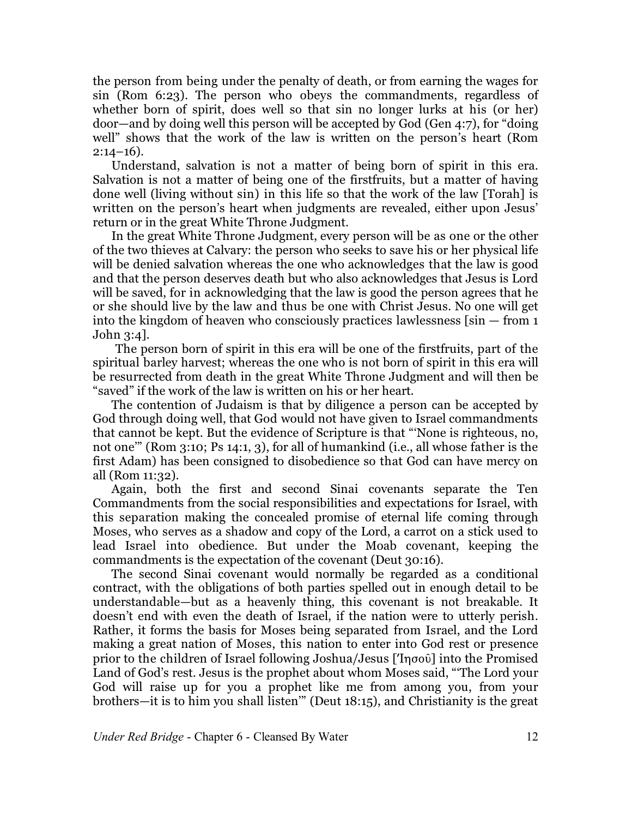the person from being under the penalty of death, or from earning the wages for sin (Rom 6:23). The person who obeys the commandments, regardless of whether born of spirit, does well so that sin no longer lurks at his (or her) door—and by doing well this person will be accepted by God (Gen 4:7), for "doing well" shows that the work of the law is written on the person's heart (Rom  $2:14-16$ ).

Understand, salvation is not a matter of being born of spirit in this era. Salvation is not a matter of being one of the firstfruits, but a matter of having done well (living without sin) in this life so that the work of the law [Torah] is written on the person's heart when judgments are revealed, either upon Jesus' return or in the great White Throne Judgment.

In the great White Throne Judgment, every person will be as one or the other of the two thieves at Calvary: the person who seeks to save his or her physical life will be denied salvation whereas the one who acknowledges that the law is good and that the person deserves death but who also acknowledges that Jesus is Lord will be saved, for in acknowledging that the law is good the person agrees that he or she should live by the law and thus be one with Christ Jesus. No one will get into the kingdom of heaven who consciously practices lawlessness [sin — from 1 John 3:4].

The person born of spirit in this era will be one of the firstfruits, part of the spiritual barley harvest; whereas the one who is not born of spirit in this era will be resurrected from death in the great White Throne Judgment and will then be "saved" if the work of the law is written on his or her heart.

The contention of Judaism is that by diligence a person can be accepted by God through doing well, that God would not have given to Israel commandments that cannot be kept. But the evidence of Scripture is that "'None is righteous, no, not one'" (Rom 3:10; Ps 14:1, 3), for all of humankind (i.e., all whose father is the first Adam) has been consigned to disobedience so that God can have mercy on all (Rom 11:32).

Again, both the first and second Sinai covenants separate the Ten Commandments from the social responsibilities and expectations for Israel, with this separation making the concealed promise of eternal life coming through Moses, who serves as a shadow and copy of the Lord, a carrot on a stick used to lead Israel into obedience. But under the Moab covenant, keeping the commandments is the expectation of the covenant (Deut 30:16).

The second Sinai covenant would normally be regarded as a conditional contract, with the obligations of both parties spelled out in enough detail to be understandable—but as a heavenly thing, this covenant is not breakable. It doesn't end with even the death of Israel, if the nation were to utterly perish. Rather, it forms the basis for Moses being separated from Israel, and the Lord making a great nation of Moses, this nation to enter into God rest or presence prior to the children of Israel following Joshua/Jesus  $[{\text{Y}}$ ngo $\hat{v}$ ] into the Promised Land of God's rest. Jesus is the prophet about whom Moses said, "'The Lord your God will raise up for you a prophet like me from among you, from your brothers—it is to him you shall listen'" (Deut 18:15), and Christianity is the great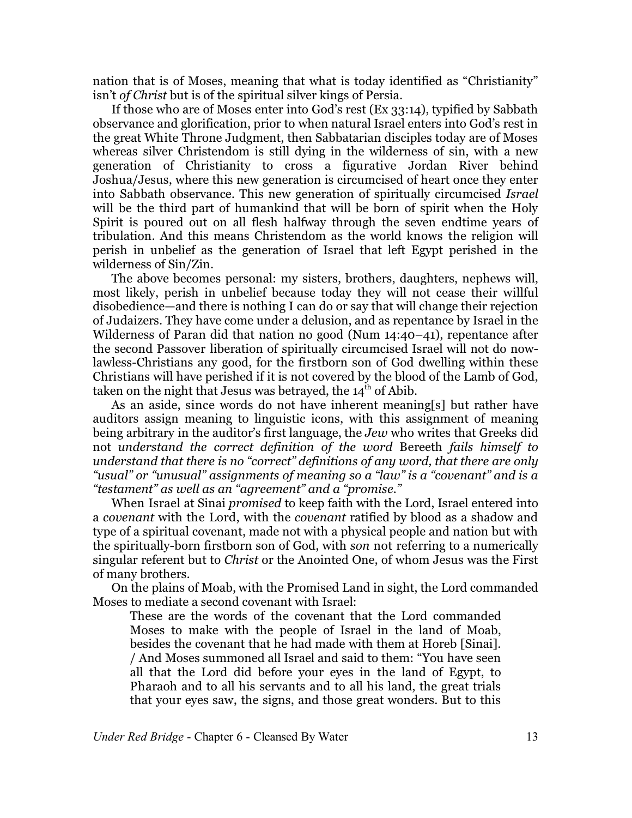nation that is of Moses, meaning that what is today identified as "Christianity" isn't *of Christ* but is of the spiritual silver kings of Persia.

If those who are of Moses enter into God's rest (Ex 33:14), typified by Sabbath observance and glorification, prior to when natural Israel enters into God's rest in the great White Throne Judgment, then Sabbatarian disciples today are of Moses whereas silver Christendom is still dying in the wilderness of sin, with a new generation of Christianity to cross a figurative Jordan River behind Joshua/Jesus, where this new generation is circumcised of heart once they enter into Sabbath observance. This new generation of spiritually circumcised *Israel* will be the third part of humankind that will be born of spirit when the Holy Spirit is poured out on all flesh halfway through the seven endtime years of tribulation. And this means Christendom as the world knows the religion will perish in unbelief as the generation of Israel that left Egypt perished in the wilderness of Sin/Zin.

The above becomes personal: my sisters, brothers, daughters, nephews will, most likely, perish in unbelief because today they will not cease their willful disobedience—and there is nothing I can do or say that will change their rejection of Judaizers. They have come under a delusion, and as repentance by Israel in the Wilderness of Paran did that nation no good (Num 14:40–41), repentance after the second Passover liberation of spiritually circumcised Israel will not do nowlawless-Christians any good, for the firstborn son of God dwelling within these Christians will have perished if it is not covered by the blood of the Lamb of God, taken on the night that Jesus was betrayed, the 14 $^{\rm th}$  of Abib.

As an aside, since words do not have inherent meaning[s] but rather have auditors assign meaning to linguistic icons, with this assignment of meaning being arbitrary in the auditor's first language, the *Jew* who writes that Greeks did not *understand the correct definition of the word* Bereeth *fails himself to understand that there is no "correct" definitions of any word, that there are only "usual" or "unusual" assignments of meaning so a "law" is a "covenant" and is a "testament" as well as an "agreement" and a "promise."*

When Israel at Sinai *promised* to keep faith with the Lord, Israel entered into a *covenant* with the Lord, with the *covenant* ratified by blood as a shadow and type of a spiritual covenant, made not with a physical people and nation but with the spiritually-born firstborn son of God, with *son* not referring to a numerically singular referent but to *Christ* or the Anointed One, of whom Jesus was the First of many brothers.

On the plains of Moab, with the Promised Land in sight, the Lord commanded Moses to mediate a second covenant with Israel:

These are the words of the covenant that the Lord commanded Moses to make with the people of Israel in the land of Moab, besides the covenant that he had made with them at Horeb [Sinai]. / And Moses summoned all Israel and said to them: "You have seen all that the Lord did before your eyes in the land of Egypt, to Pharaoh and to all his servants and to all his land, the great trials that your eyes saw, the signs, and those great wonders. But to this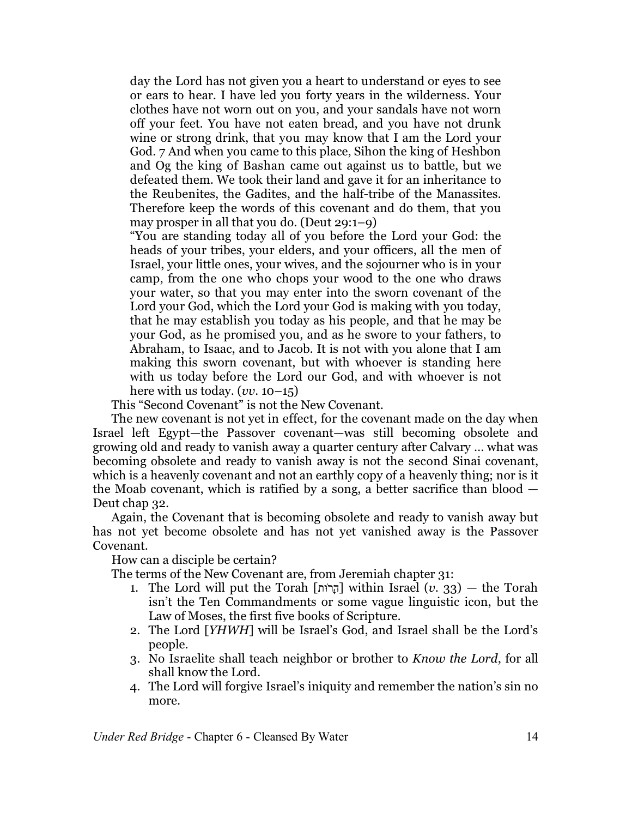day the Lord has not given you a heart to understand or eyes to see or ears to hear. I have led you forty years in the wilderness. Your clothes have not worn out on you, and your sandals have not worn off your feet. You have not eaten bread, and you have not drunk wine or strong drink, that you may know that I am the Lord your God. 7 And when you came to this place, Sihon the king of Heshbon and Og the king of Bashan came out against us to battle, but we defeated them. We took their land and gave it for an inheritance to the Reubenites, the Gadites, and the half-tribe of the Manassites. Therefore keep the words of this covenant and do them, that you may prosper in all that you do. (Deut 29:1–9)

"You are standing today all of you before the Lord your God: the heads of your tribes, your elders, and your officers, all the men of Israel, your little ones, your wives, and the sojourner who is in your camp, from the one who chops your wood to the one who draws your water, so that you may enter into the sworn covenant of the Lord your God, which the Lord your God is making with you today, that he may establish you today as his people, and that he may be your God, as he promised you, and as he swore to your fathers, to Abraham, to Isaac, and to Jacob. It is not with you alone that I am making this sworn covenant, but with whoever is standing here with us today before the Lord our God, and with whoever is not here with us today. (*vv.* 10–15)

This "Second Covenant" is not the New Covenant.

The new covenant is not yet in effect, for the covenant made on the day when Israel left Egypt—the Passover covenant—was still becoming obsolete and growing old and ready to vanish away a quarter century after Calvary … what was becoming obsolete and ready to vanish away is not the second Sinai covenant, which is a heavenly covenant and not an earthly copy of a heavenly thing; nor is it the Moab covenant, which is ratified by a song, a better sacrifice than blood  $-$ Deut chap 32.

Again, the Covenant that is becoming obsolete and ready to vanish away but has not yet become obsolete and has not yet vanished away is the Passover Covenant.

How can a disciple be certain?

The terms of the New Covenant are, from Jeremiah chapter 31:

- 1. The Lord will put the Torah  $\lceil \pi \rceil$  within Israel (*v.* 33) the Torah isn't the Ten Commandments or some vague linguistic icon, but the Law of Moses, the first five books of Scripture.
- 2. The Lord [*YHWH*] will be Israel's God, and Israel shall be the Lord's people.
- 3. No Israelite shall teach neighbor or brother to *Know the Lord*, for all shall know the Lord.
- 4. The Lord will forgive Israel's iniquity and remember the nation's sin no more.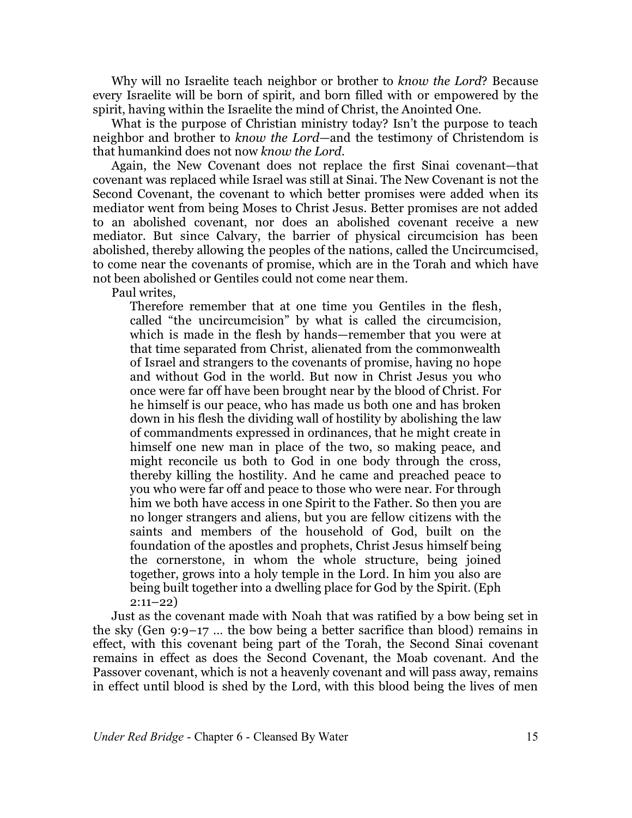Why will no Israelite teach neighbor or brother to *know the Lord*? Because every Israelite will be born of spirit, and born filled with or empowered by the spirit, having within the Israelite the mind of Christ, the Anointed One.

What is the purpose of Christian ministry today? Isn't the purpose to teach neighbor and brother to *know the Lord*—and the testimony of Christendom is that humankind does not now *know the Lord*.

Again, the New Covenant does not replace the first Sinai covenant—that covenant was replaced while Israel was still at Sinai. The New Covenant is not the Second Covenant, the covenant to which better promises were added when its mediator went from being Moses to Christ Jesus. Better promises are not added to an abolished covenant, nor does an abolished covenant receive a new mediator. But since Calvary, the barrier of physical circumcision has been abolished, thereby allowing the peoples of the nations, called the Uncircumcised, to come near the covenants of promise, which are in the Torah and which have not been abolished or Gentiles could not come near them.

Paul writes,

Therefore remember that at one time you Gentiles in the flesh, called "the uncircumcision" by what is called the circumcision, which is made in the flesh by hands—remember that you were at that time separated from Christ, alienated from the commonwealth of Israel and strangers to the covenants of promise, having no hope and without God in the world. But now in Christ Jesus you who once were far off have been brought near by the blood of Christ. For he himself is our peace, who has made us both one and has broken down in his flesh the dividing wall of hostility by abolishing the law of commandments expressed in ordinances, that he might create in himself one new man in place of the two, so making peace, and might reconcile us both to God in one body through the cross, thereby killing the hostility. And he came and preached peace to you who were far off and peace to those who were near. For through him we both have access in one Spirit to the Father. So then you are no longer strangers and aliens, but you are fellow citizens with the saints and members of the household of God, built on the foundation of the apostles and prophets, Christ Jesus himself being the cornerstone, in whom the whole structure, being joined together, grows into a holy temple in the Lord. In him you also are being built together into a dwelling place for God by the Spirit. (Eph 2:11–22)

Just as the covenant made with Noah that was ratified by a bow being set in the sky (Gen 9:9–17 … the bow being a better sacrifice than blood) remains in effect, with this covenant being part of the Torah, the Second Sinai covenant remains in effect as does the Second Covenant, the Moab covenant. And the Passover covenant, which is not a heavenly covenant and will pass away, remains in effect until blood is shed by the Lord, with this blood being the lives of men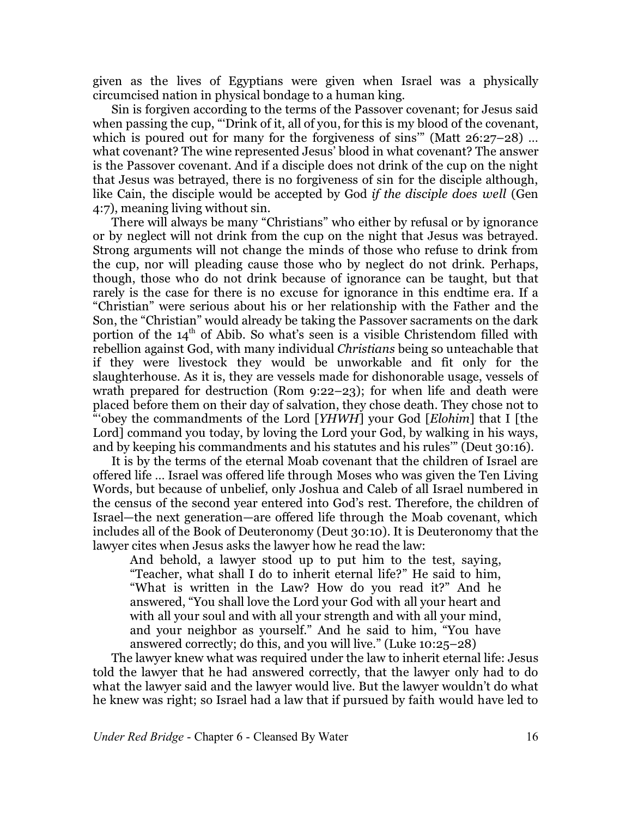given as the lives of Egyptians were given when Israel was a physically circumcised nation in physical bondage to a human king.

Sin is forgiven according to the terms of the Passover covenant; for Jesus said when passing the cup, "'Drink of it, all of you, for this is my blood of the covenant, which is poured out for many for the forgiveness of sins" (Matt 26:27–28) ... what covenant? The wine represented Jesus' blood in what covenant? The answer is the Passover covenant. And if a disciple does not drink of the cup on the night that Jesus was betrayed, there is no forgiveness of sin for the disciple although, like Cain, the disciple would be accepted by God *if the disciple does well* (Gen 4:7), meaning living without sin.

There will always be many "Christians" who either by refusal or by ignorance or by neglect will not drink from the cup on the night that Jesus was betrayed. Strong arguments will not change the minds of those who refuse to drink from the cup, nor will pleading cause those who by neglect do not drink. Perhaps, though, those who do not drink because of ignorance can be taught, but that rarely is the case for there is no excuse for ignorance in this endtime era. If a "Christian" were serious about his or her relationship with the Father and the Son, the "Christian" would already be taking the Passover sacraments on the dark portion of the 14<sup>th</sup> of Abib. So what's seen is a visible Christendom filled with rebellion against God, with many individual *Christians* being so unteachable that if they were livestock they would be unworkable and fit only for the slaughterhouse. As it is, they are vessels made for dishonorable usage, vessels of wrath prepared for destruction (Rom 9:22–23); for when life and death were placed before them on their day of salvation, they chose death. They chose not to "'obey the commandments of the Lord [*YHWH*] your God [*Elohim*] that I [the Lord] command you today, by loving the Lord your God, by walking in his ways, and by keeping his commandments and his statutes and his rules'" (Deut 30:16).

It is by the terms of the eternal Moab covenant that the children of Israel are offered life … Israel was offered life through Moses who was given the Ten Living Words, but because of unbelief, only Joshua and Caleb of all Israel numbered in the census of the second year entered into God's rest. Therefore, the children of Israel—the next generation—are offered life through the Moab covenant, which includes all of the Book of Deuteronomy (Deut 30:10). It is Deuteronomy that the lawyer cites when Jesus asks the lawyer how he read the law:

And behold, a lawyer stood up to put him to the test, saying, "Teacher, what shall I do to inherit eternal life?" He said to him, "What is written in the Law? How do you read it?" And he answered, "You shall love the Lord your God with all your heart and with all your soul and with all your strength and with all your mind, and your neighbor as yourself." And he said to him, "You have answered correctly; do this, and you will live." (Luke 10:25–28)

The lawyer knew what was required under the law to inherit eternal life: Jesus told the lawyer that he had answered correctly, that the lawyer only had to do what the lawyer said and the lawyer would live. But the lawyer wouldn't do what he knew was right; so Israel had a law that if pursued by faith would have led to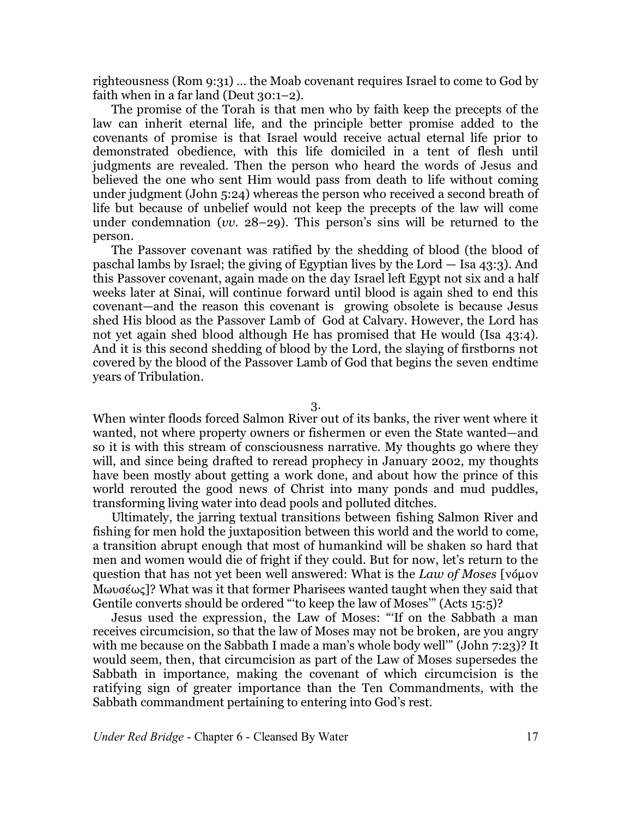righteousness (Rom 9:31) … the Moab covenant requires Israel to come to God by faith when in a far land (Deut  $30:1-2$ ).

The promise of the Torah is that men who by faith keep the precepts of the law can inherit eternal life, and the principle better promise added to the covenants of promise is that Israel would receive actual eternal life prior to demonstrated obedience, with this life domiciled in a tent of flesh until judgments are revealed. Then the person who heard the words of Jesus and believed the one who sent Him would pass from death to life without coming under judgment (John 5:24) whereas the person who received a second breath of life but because of unbelief would not keep the precepts of the law will come under condemnation (*vv.* 28–29). This person's sins will be returned to the person.

The Passover covenant was ratified by the shedding of blood (the blood of paschal lambs by Israel; the giving of Egyptian lives by the Lord — Isa 43:3). And this Passover covenant, again made on the day Israel left Egypt not six and a half weeks later at Sinai, will continue forward until blood is again shed to end this covenant—and the reason this covenant is growing obsolete is because Jesus shed His blood as the Passover Lamb of God at Calvary. However, the Lord has not yet again shed blood although He has promised that He would (Isa 43:4). And it is this second shedding of blood by the Lord, the slaying of firstborns not covered by the blood of the Passover Lamb of God that begins the seven endtime years of Tribulation.

3.

When winter floods forced Salmon River out of its banks, the river went where it wanted, not where property owners or fishermen or even the State wanted—and so it is with this stream of consciousness narrative. My thoughts go where they will, and since being drafted to reread prophecy in January 2002, my thoughts have been mostly about getting a work done, and about how the prince of this world rerouted the good news of Christ into many ponds and mud puddles, transforming living water into dead pools and polluted ditches.

Ultimately, the jarring textual transitions between fishing Salmon River and fishing for men hold the juxtaposition between this world and the world to come, a transition abrupt enough that most of humankind will be shaken so hard that men and women would die of fright if they could. But for now, let's return to the question that has not yet been well answered: What is the *Law of Moses* [vo<sup>t pro</sup>ver]  $M\omega\sigma\epsilon\omega\zeta$ ? What was it that former Pharisees wanted taught when they said that Gentile converts should be ordered "to keep the law of Moses" (Acts 15:5)?

Jesus used the expression, the Law of Moses: "'If on the Sabbath a man receives circumcision, so that the law of Moses may not be broken, are you angry with me because on the Sabbath I made a man's whole body well'" (John 7:23)? It would seem, then, that circumcision as part of the Law of Moses supersedes the Sabbath in importance, making the covenant of which circumcision is the ratifying sign of greater importance than the Ten Commandments, with the Sabbath commandment pertaining to entering into God's rest.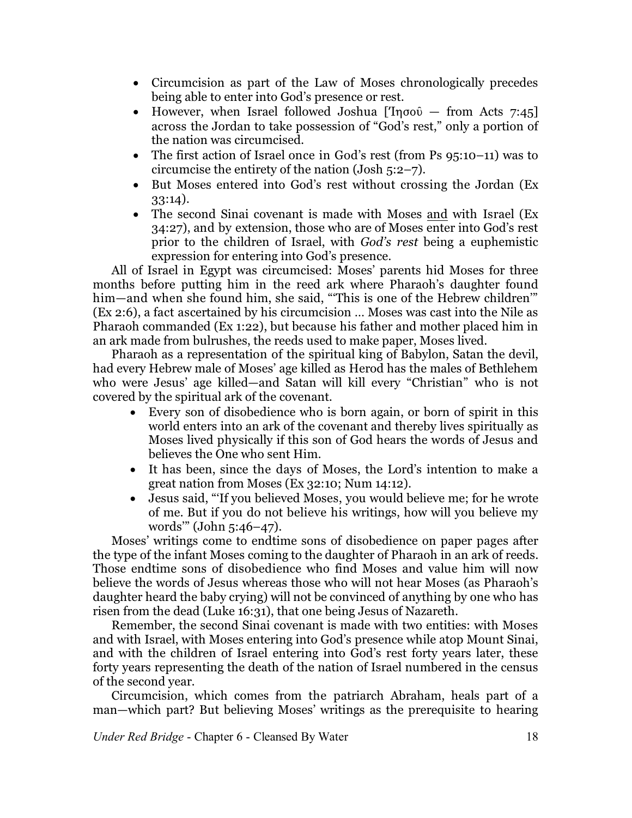- · Circumcision as part of the Law of Moses chronologically precedes being able to enter into God's presence or rest.
- However, when Israel followed Joshua  $[{\text{Y}} \text{Proj} {\text{from} \text{ acts } 7:45}]$ across the Jordan to take possession of "God's rest," only a portion of the nation was circumcised.
- The first action of Israel once in God's rest (from Ps  $95:10-11$ ) was to circumcise the entirety of the nation (Josh 5:2–7).
- But Moses entered into God's rest without crossing the Jordan (Ex 33:14).
- The second Sinai covenant is made with Moses and with Israel (Ex 34:27), and by extension, those who are of Moses enter into God's rest prior to the children of Israel, with *God's rest* being a euphemistic expression for entering into God's presence.

All of Israel in Egypt was circumcised: Moses' parents hid Moses for three months before putting him in the reed ark where Pharaoh's daughter found him—and when she found him, she said, "This is one of the Hebrew children" (Ex 2:6), a fact ascertained by his circumcision … Moses was cast into the Nile as Pharaoh commanded (Ex 1:22), but because his father and mother placed him in an ark made from bulrushes, the reeds used to make paper, Moses lived.

Pharaoh as a representation of the spiritual king of Babylon, Satan the devil, had every Hebrew male of Moses' age killed as Herod has the males of Bethlehem who were Jesus' age killed—and Satan will kill every "Christian" who is not covered by the spiritual ark of the covenant.

- Every son of disobedience who is born again, or born of spirit in this world enters into an ark of the covenant and thereby lives spiritually as Moses lived physically if this son of God hears the words of Jesus and believes the One who sent Him.
- · It has been, since the days of Moses, the Lord's intention to make a great nation from Moses (Ex 32:10; Num 14:12).
- · Jesus said, "'If you believed Moses, you would believe me; for he wrote of me. But if you do not believe his writings, how will you believe my words'" (John 5:46–47).

Moses' writings come to endtime sons of disobedience on paper pages after the type of the infant Moses coming to the daughter of Pharaoh in an ark of reeds. Those endtime sons of disobedience who find Moses and value him will now believe the words of Jesus whereas those who will not hear Moses (as Pharaoh's daughter heard the baby crying) will not be convinced of anything by one who has risen from the dead (Luke 16:31), that one being Jesus of Nazareth.

Remember, the second Sinai covenant is made with two entities: with Moses and with Israel, with Moses entering into God's presence while atop Mount Sinai, and with the children of Israel entering into God's rest forty years later, these forty years representing the death of the nation of Israel numbered in the census of the second year.

Circumcision, which comes from the patriarch Abraham, heals part of a man—which part? But believing Moses' writings as the prerequisite to hearing

*Under Red Bridge* - Chapter 6 - Cleansed By Water 18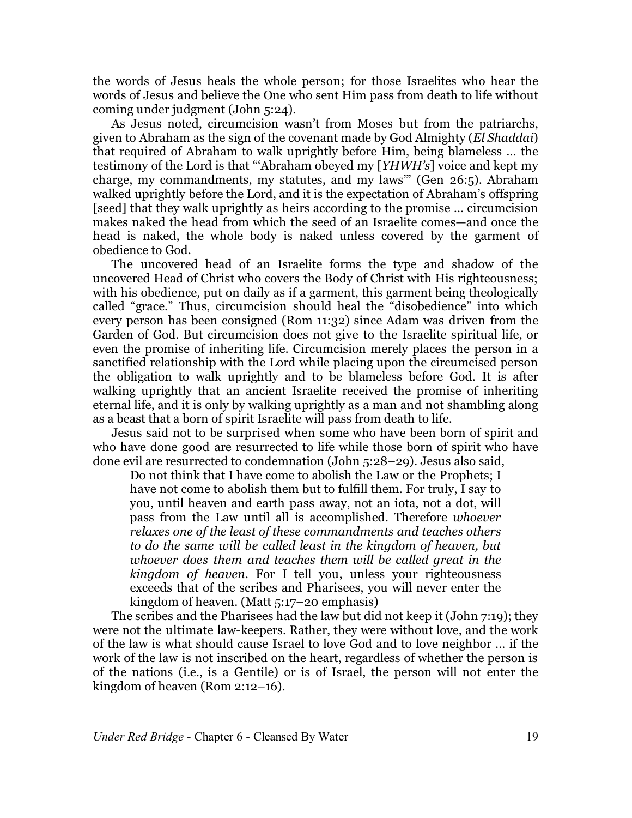the words of Jesus heals the whole person; for those Israelites who hear the words of Jesus and believe the One who sent Him pass from death to life without coming under judgment (John 5:24).

As Jesus noted, circumcision wasn't from Moses but from the patriarchs, given to Abraham as the sign of the covenant made by God Almighty (*El Shaddai*) that required of Abraham to walk uprightly before Him, being blameless … the testimony of the Lord is that "'Abraham obeyed my [*YHWH's*] voice and kept my charge, my commandments, my statutes, and my laws'" (Gen 26:5). Abraham walked uprightly before the Lord, and it is the expectation of Abraham's offspring [seed] that they walk uprightly as heirs according to the promise … circumcision makes naked the head from which the seed of an Israelite comes—and once the head is naked, the whole body is naked unless covered by the garment of obedience to God.

The uncovered head of an Israelite forms the type and shadow of the uncovered Head of Christ who covers the Body of Christ with His righteousness; with his obedience, put on daily as if a garment, this garment being theologically called "grace." Thus, circumcision should heal the "disobedience" into which every person has been consigned (Rom 11:32) since Adam was driven from the Garden of God. But circumcision does not give to the Israelite spiritual life, or even the promise of inheriting life. Circumcision merely places the person in a sanctified relationship with the Lord while placing upon the circumcised person the obligation to walk uprightly and to be blameless before God. It is after walking uprightly that an ancient Israelite received the promise of inheriting eternal life, and it is only by walking uprightly as a man and not shambling along as a beast that a born of spirit Israelite will pass from death to life.

Jesus said not to be surprised when some who have been born of spirit and who have done good are resurrected to life while those born of spirit who have done evil are resurrected to condemnation (John 5:28–29). Jesus also said,

Do not think that I have come to abolish the Law or the Prophets; I have not come to abolish them but to fulfill them. For truly, I say to you, until heaven and earth pass away, not an iota, not a dot, will pass from the Law until all is accomplished. Therefore *whoever relaxes one of the least of these commandments and teaches others to do the same will be called least in the kingdom of heaven, but whoever does them and teaches them will be called great in the kingdom of heaven*. For I tell you, unless your righteousness exceeds that of the scribes and Pharisees, you will never enter the kingdom of heaven. (Matt 5:17–20 emphasis)

The scribes and the Pharisees had the law but did not keep it (John 7:19); they were not the ultimate law-keepers. Rather, they were without love, and the work of the law is what should cause Israel to love God and to love neighbor … if the work of the law is not inscribed on the heart, regardless of whether the person is of the nations (i.e., is a Gentile) or is of Israel, the person will not enter the kingdom of heaven (Rom 2:12–16).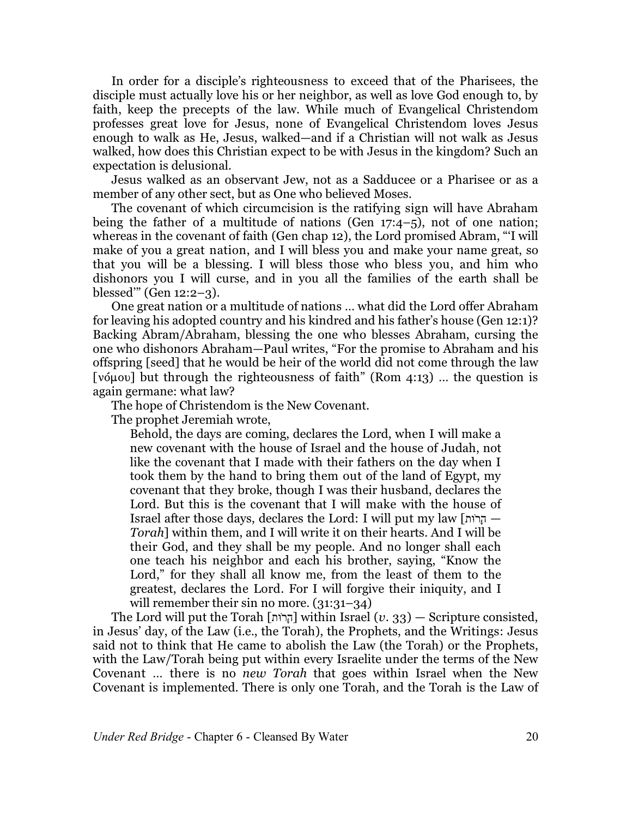In order for a disciple's righteousness to exceed that of the Pharisees, the disciple must actually love his or her neighbor, as well as love God enough to, by faith, keep the precepts of the law. While much of Evangelical Christendom professes great love for Jesus, none of Evangelical Christendom loves Jesus enough to walk as He, Jesus, walked—and if a Christian will not walk as Jesus walked, how does this Christian expect to be with Jesus in the kingdom? Such an expectation is delusional.

Jesus walked as an observant Jew, not as a Sadducee or a Pharisee or as a member of any other sect, but as One who believed Moses.

The covenant of which circumcision is the ratifying sign will have Abraham being the father of a multitude of nations (Gen 17:4–5), not of one nation; whereas in the covenant of faith (Gen chap 12), the Lord promised Abram, "'I will make of you a great nation, and I will bless you and make your name great, so that you will be a blessing. I will bless those who bless you, and him who dishonors you I will curse, and in you all the families of the earth shall be blessed'" (Gen 12:2–3).

One great nation or a multitude of nations … what did the Lord offer Abraham for leaving his adopted country and his kindred and his father's house (Gen 12:1)? Backing Abram/Abraham, blessing the one who blesses Abraham, cursing the one who dishonors Abraham—Paul writes, "For the promise to Abraham and his offspring [seed] that he would be heir of the world did not come through the law [ $\nu$ о $\mu$  $\nu$ ] but through the righteousness of faith" (Rom 4:13) ... the question is again germane: what law?

The hope of Christendom is the New Covenant.

The prophet Jeremiah wrote,

Behold, the days are coming, declares the Lord, when I will make a new covenant with the house of Israel and the house of Judah, not like the covenant that I made with their fathers on the day when I took them by the hand to bring them out of the land of Egypt, my covenant that they broke, though I was their husband, declares the Lord. But this is the covenant that I will make with the house of Israel after those days, declares the Lord: I will put my law  $\lceil$ הרות  $\rceil$ *Torah*] within them, and I will write it on their hearts. And I will be their God, and they shall be my people. And no longer shall each one teach his neighbor and each his brother, saying, "Know the Lord," for they shall all know me, from the least of them to the greatest, declares the Lord. For I will forgive their iniquity, and I will remember their sin no more. (31:31–34)

The Lord will put the Torah [הְרוֹת] within Israel ( $v.$  33) — Scripture consisted, in Jesus' day, of the Law (i.e., the Torah), the Prophets, and the Writings: Jesus said not to think that He came to abolish the Law (the Torah) or the Prophets, with the Law/Torah being put within every Israelite under the terms of the New Covenant … there is no *new Torah* that goes within Israel when the New Covenant is implemented. There is only one Torah, and the Torah is the Law of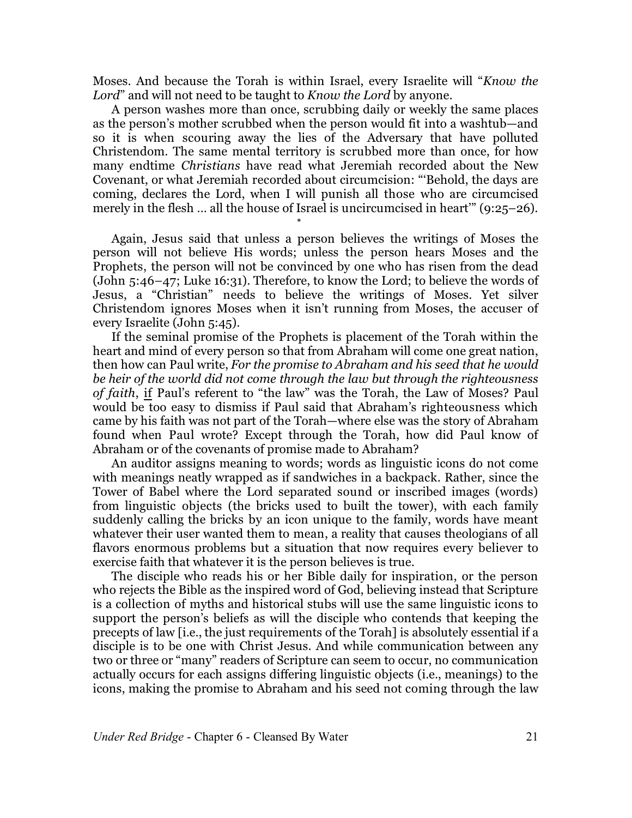Moses. And because the Torah is within Israel, every Israelite will "*Know the Lord*" and will not need to be taught to *Know the Lord* by anyone.

A person washes more than once, scrubbing daily or weekly the same places as the person's mother scrubbed when the person would fit into a washtub—and so it is when scouring away the lies of the Adversary that have polluted Christendom. The same mental territory is scrubbed more than once, for how many endtime *Christians* have read what Jeremiah recorded about the New Covenant, or what Jeremiah recorded about circumcision: "'Behold, the days are coming, declares the Lord, when I will punish all those who are circumcised merely in the flesh … all the house of Israel is uncircumcised in heart'" (9:25–26).

Again, Jesus said that unless a person believes the writings of Moses the person will not believe His words; unless the person hears Moses and the Prophets, the person will not be convinced by one who has risen from the dead (John 5:46–47; Luke 16:31). Therefore, to know the Lord; to believe the words of Jesus, a "Christian" needs to believe the writings of Moses. Yet silver Christendom ignores Moses when it isn't running from Moses, the accuser of every Israelite (John 5:45).

\*

If the seminal promise of the Prophets is placement of the Torah within the heart and mind of every person so that from Abraham will come one great nation, then how can Paul write, *For the promise to Abraham and his seed that he would be heir of the world did not come through the law but through the righteousness of faith*, if Paul's referent to "the law" was the Torah, the Law of Moses? Paul would be too easy to dismiss if Paul said that Abraham's righteousness which came by his faith was not part of the Torah—where else was the story of Abraham found when Paul wrote? Except through the Torah, how did Paul know of Abraham or of the covenants of promise made to Abraham?

An auditor assigns meaning to words; words as linguistic icons do not come with meanings neatly wrapped as if sandwiches in a backpack. Rather, since the Tower of Babel where the Lord separated sound or inscribed images (words) from linguistic objects (the bricks used to built the tower), with each family suddenly calling the bricks by an icon unique to the family, words have meant whatever their user wanted them to mean, a reality that causes theologians of all flavors enormous problems but a situation that now requires every believer to exercise faith that whatever it is the person believes is true.

The disciple who reads his or her Bible daily for inspiration, or the person who rejects the Bible as the inspired word of God, believing instead that Scripture is a collection of myths and historical stubs will use the same linguistic icons to support the person's beliefs as will the disciple who contends that keeping the precepts of law [i.e., the just requirements of the Torah] is absolutely essential if a disciple is to be one with Christ Jesus. And while communication between any two or three or "many" readers of Scripture can seem to occur, no communication actually occurs for each assigns differing linguistic objects (i.e., meanings) to the icons, making the promise to Abraham and his seed not coming through the law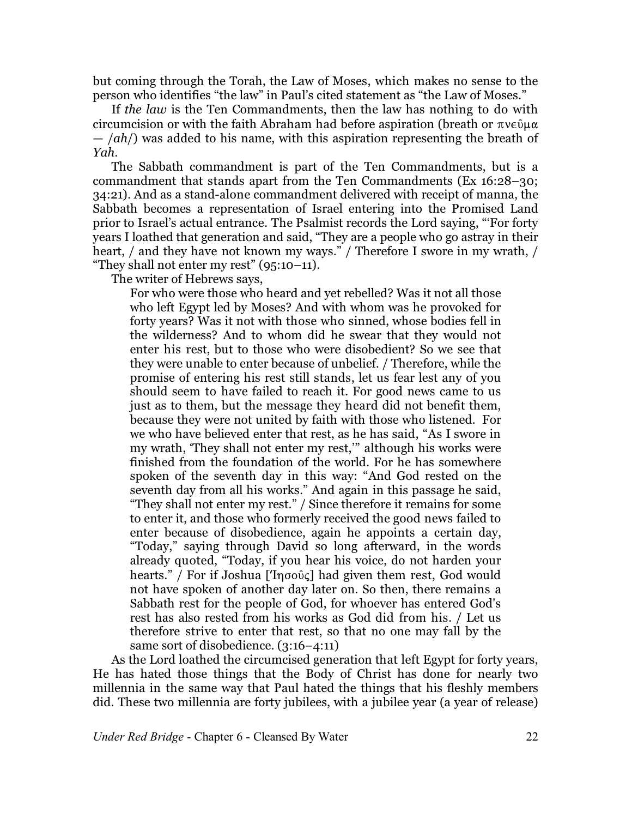but coming through the Torah, the Law of Moses, which makes no sense to the person who identifies "the law" in Paul's cited statement as "the Law of Moses."

If *the law* is the Ten Commandments, then the law has nothing to do with circumcision or with the faith Abraham had before aspiration (breath or  $\pi v \in \mathfrak{g}_{\mu\alpha}$ — /*ah*/) was added to his name, with this aspiration representing the breath of *Yah*.

The Sabbath commandment is part of the Ten Commandments, but is a commandment that stands apart from the Ten Commandments (Ex 16:28–30; 34:21). And as a stand-alone commandment delivered with receipt of manna, the Sabbath becomes a representation of Israel entering into the Promised Land prior to Israel's actual entrance. The Psalmist records the Lord saying, "'For forty years I loathed that generation and said, "They are a people who go astray in their heart, / and they have not known my ways." / Therefore I swore in my wrath, / "They shall not enter my rest" (95:10–11).

The writer of Hebrews says,

For who were those who heard and yet rebelled? Was it not all those who left Egypt led by Moses? And with whom was he provoked for forty years? Was it not with those who sinned, whose bodies fell in the wilderness? And to whom did he swear that they would not enter his rest, but to those who were disobedient? So we see that they were unable to enter because of unbelief. / Therefore, while the promise of entering his rest still stands, let us fear lest any of you should seem to have failed to reach it. For good news came to us just as to them, but the message they heard did not benefit them, because they were not united by faith with those who listened. For we who have believed enter that rest, as he has said, "As I swore in my wrath, 'They shall not enter my rest,'" although his works were finished from the foundation of the world. For he has somewhere spoken of the seventh day in this way: "And God rested on the seventh day from all his works." And again in this passage he said, "They shall not enter my rest." / Since therefore it remains for some to enter it, and those who formerly received the good news failed to enter because of disobedience, again he appoints a certain day, "Today," saying through David so long afterward, in the words already quoted, "Today, if you hear his voice, do not harden your hearts." / For if Joshua [ $Inqoo\hat{o}$ ] had given them rest, God would not have spoken of another day later on. So then, there remains a Sabbath rest for the people of God, for whoever has entered God's rest has also rested from his works as God did from his. / Let us therefore strive to enter that rest, so that no one may fall by the same sort of disobedience. (3:16–4:11)

As the Lord loathed the circumcised generation that left Egypt for forty years, He has hated those things that the Body of Christ has done for nearly two millennia in the same way that Paul hated the things that his fleshly members did. These two millennia are forty jubilees, with a jubilee year (a year of release)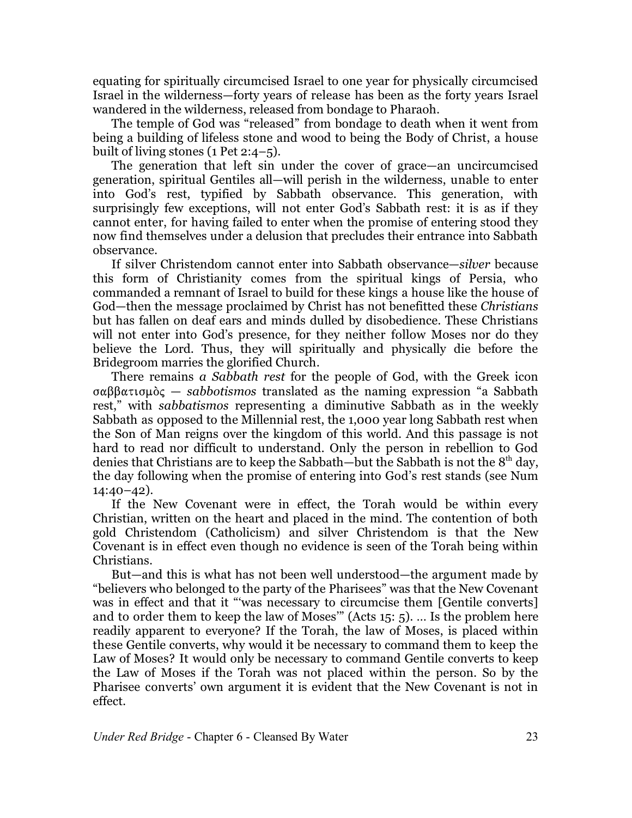equating for spiritually circumcised Israel to one year for physically circumcised Israel in the wilderness—forty years of release has been as the forty years Israel wandered in the wilderness, released from bondage to Pharaoh.

The temple of God was "released" from bondage to death when it went from being a building of lifeless stone and wood to being the Body of Christ, a house built of living stones  $(1$  Pet  $2:4-5$ ).

The generation that left sin under the cover of grace—an uncircumcised generation, spiritual Gentiles all—will perish in the wilderness, unable to enter into God's rest, typified by Sabbath observance. This generation, with surprisingly few exceptions, will not enter God's Sabbath rest: it is as if they cannot enter, for having failed to enter when the promise of entering stood they now find themselves under a delusion that precludes their entrance into Sabbath observance.

If silver Christendom cannot enter into Sabbath observance—*silver* because this form of Christianity comes from the spiritual kings of Persia, who commanded a remnant of Israel to build for these kings a house like the house of God—then the message proclaimed by Christ has not benefitted these *Christians* but has fallen on deaf ears and minds dulled by disobedience. These Christians will not enter into God's presence, for they neither follow Moses nor do they believe the Lord. Thus, they will spiritually and physically die before the Bridegroom marries the glorified Church.

There remains *a Sabbath rest* for the people of God, with the Greek icon  $\sigma \alpha \beta \beta \alpha \tau \sigma \alpha \beta \delta$ ;  $\sigma$  *sabbotismos* translated as the naming expression "a Sabbath" rest," with *sabbatismos* representing a diminutive Sabbath as in the weekly Sabbath as opposed to the Millennial rest, the 1,000 year long Sabbath rest when the Son of Man reigns over the kingdom of this world. And this passage is not hard to read nor difficult to understand. Only the person in rebellion to God denies that Christians are to keep the Sabbath—but the Sabbath is not the  $8<sup>th</sup>$  day, the day following when the promise of entering into God's rest stands (see Num  $14:40-42$ ).

If the New Covenant were in effect, the Torah would be within every Christian, written on the heart and placed in the mind. The contention of both gold Christendom (Catholicism) and silver Christendom is that the New Covenant is in effect even though no evidence is seen of the Torah being within Christians.

But—and this is what has not been well understood—the argument made by "believers who belonged to the party of the Pharisees" was that the New Covenant was in effect and that it "'was necessary to circumcise them [Gentile converts] and to order them to keep the law of Moses'" (Acts 15: 5). … Is the problem here readily apparent to everyone? If the Torah, the law of Moses, is placed within these Gentile converts, why would it be necessary to command them to keep the Law of Moses? It would only be necessary to command Gentile converts to keep the Law of Moses if the Torah was not placed within the person. So by the Pharisee converts' own argument it is evident that the New Covenant is not in effect.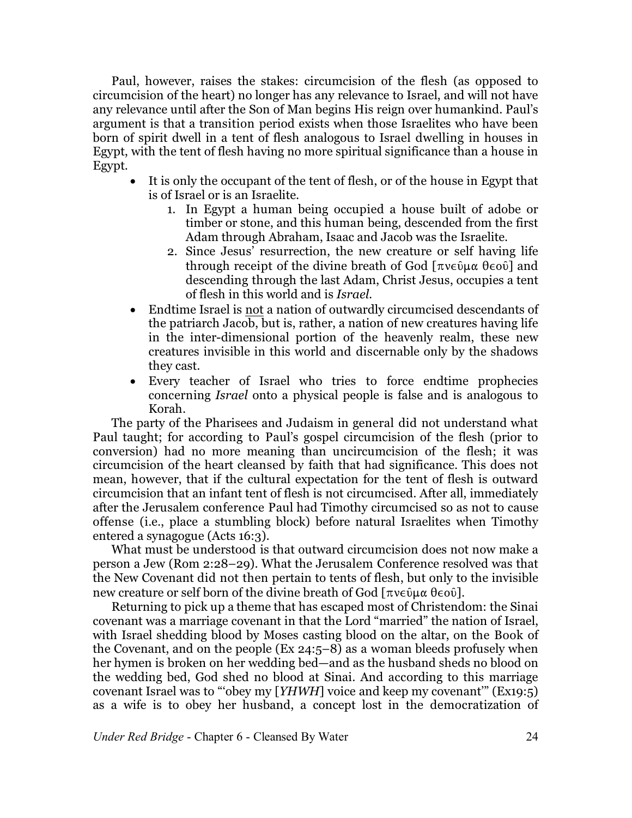Paul, however, raises the stakes: circumcision of the flesh (as opposed to circumcision of the heart) no longer has any relevance to Israel, and will not have any relevance until after the Son of Man begins His reign over humankind. Paul's argument is that a transition period exists when those Israelites who have been born of spirit dwell in a tent of flesh analogous to Israel dwelling in houses in Egypt, with the tent of flesh having no more spiritual significance than a house in Egypt.

- · It is only the occupant of the tent of flesh, or of the house in Egypt that is of Israel or is an Israelite.
	- 1. In Egypt a human being occupied a house built of adobe or timber or stone, and this human being, descended from the first Adam through Abraham, Isaac and Jacob was the Israelite.
	- 2. Since Jesus' resurrection, the new creature or self having life through receipt of the divine breath of God  $[\pi \nu \epsilon \hat{\nu} \mu \alpha \theta \epsilon \hat{\nu}]$  and descending through the last Adam, Christ Jesus, occupies a tent of flesh in this world and is *Israel*.
- · Endtime Israel is not a nation of outwardly circumcised descendants of the patriarch Jacob, but is, rather, a nation of new creatures having life in the inter-dimensional portion of the heavenly realm, these new creatures invisible in this world and discernable only by the shadows they cast.
- · Every teacher of Israel who tries to force endtime prophecies concerning *Israel* onto a physical people is false and is analogous to Korah.

The party of the Pharisees and Judaism in general did not understand what Paul taught; for according to Paul's gospel circumcision of the flesh (prior to conversion) had no more meaning than uncircumcision of the flesh; it was circumcision of the heart cleansed by faith that had significance. This does not mean, however, that if the cultural expectation for the tent of flesh is outward circumcision that an infant tent of flesh is not circumcised. After all, immediately after the Jerusalem conference Paul had Timothy circumcised so as not to cause offense (i.e., place a stumbling block) before natural Israelites when Timothy entered a synagogue (Acts 16:3).

What must be understood is that outward circumcision does not now make a person a Jew (Rom 2:28–29). What the Jerusalem Conference resolved was that the New Covenant did not then pertain to tents of flesh, but only to the invisible new creature or self born of the divine breath of God  $\lceil \pi v \epsilon v \mu \alpha \theta \epsilon v \delta \rceil$ .

Returning to pick up a theme that has escaped most of Christendom: the Sinai covenant was a marriage covenant in that the Lord "married" the nation of Israel, with Israel shedding blood by Moses casting blood on the altar, on the Book of the Covenant, and on the people (Ex 24:5–8) as a woman bleeds profusely when her hymen is broken on her wedding bed—and as the husband sheds no blood on the wedding bed, God shed no blood at Sinai. And according to this marriage covenant Israel was to "'obey my [*YHWH*] voice and keep my covenant'" (Ex19:5) as a wife is to obey her husband, a concept lost in the democratization of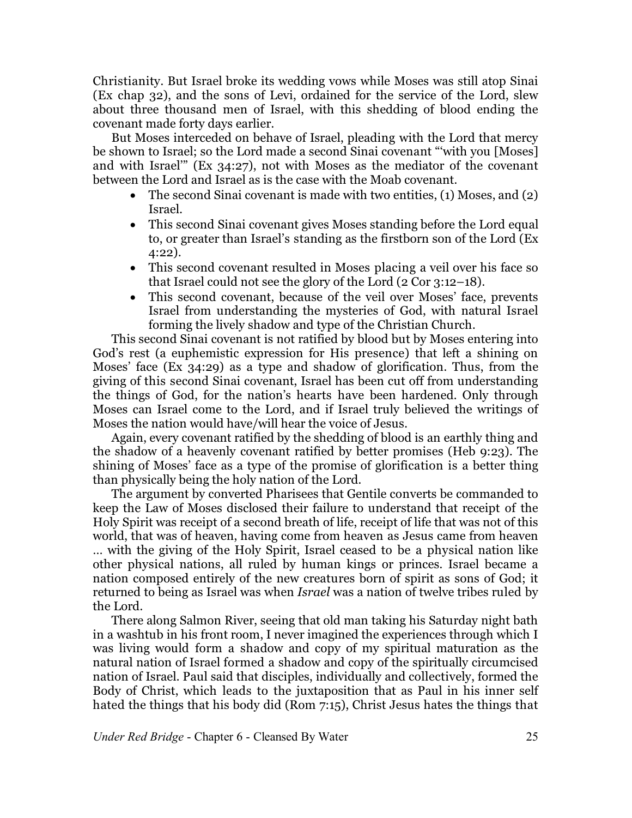Christianity. But Israel broke its wedding vows while Moses was still atop Sinai (Ex chap 32), and the sons of Levi, ordained for the service of the Lord, slew about three thousand men of Israel, with this shedding of blood ending the covenant made forty days earlier.

But Moses interceded on behave of Israel, pleading with the Lord that mercy be shown to Israel; so the Lord made a second Sinai covenant "'with you [Moses] and with Israel'" (Ex 34:27), not with Moses as the mediator of the covenant between the Lord and Israel as is the case with the Moab covenant.

- The second Sinai covenant is made with two entities,  $(1)$  Moses, and  $(2)$ Israel.
- · This second Sinai covenant gives Moses standing before the Lord equal to, or greater than Israel's standing as the firstborn son of the Lord (Ex 4:22).
- This second covenant resulted in Moses placing a veil over his face so that Israel could not see the glory of the Lord (2 Cor 3:12–18).
- · This second covenant, because of the veil over Moses' face, prevents Israel from understanding the mysteries of God, with natural Israel forming the lively shadow and type of the Christian Church.

This second Sinai covenant is not ratified by blood but by Moses entering into God's rest (a euphemistic expression for His presence) that left a shining on Moses' face (Ex 34:29) as a type and shadow of glorification. Thus, from the giving of this second Sinai covenant, Israel has been cut off from understanding the things of God, for the nation's hearts have been hardened. Only through Moses can Israel come to the Lord, and if Israel truly believed the writings of Moses the nation would have/will hear the voice of Jesus.

Again, every covenant ratified by the shedding of blood is an earthly thing and the shadow of a heavenly covenant ratified by better promises (Heb 9:23). The shining of Moses' face as a type of the promise of glorification is a better thing than physically being the holy nation of the Lord.

The argument by converted Pharisees that Gentile converts be commanded to keep the Law of Moses disclosed their failure to understand that receipt of the Holy Spirit was receipt of a second breath of life, receipt of life that was not of this world, that was of heaven, having come from heaven as Jesus came from heaven … with the giving of the Holy Spirit, Israel ceased to be a physical nation like other physical nations, all ruled by human kings or princes. Israel became a nation composed entirely of the new creatures born of spirit as sons of God; it returned to being as Israel was when *Israel* was a nation of twelve tribes ruled by the Lord.

There along Salmon River, seeing that old man taking his Saturday night bath in a washtub in his front room, I never imagined the experiences through which I was living would form a shadow and copy of my spiritual maturation as the natural nation of Israel formed a shadow and copy of the spiritually circumcised nation of Israel. Paul said that disciples, individually and collectively, formed the Body of Christ, which leads to the juxtaposition that as Paul in his inner self hated the things that his body did (Rom 7:15), Christ Jesus hates the things that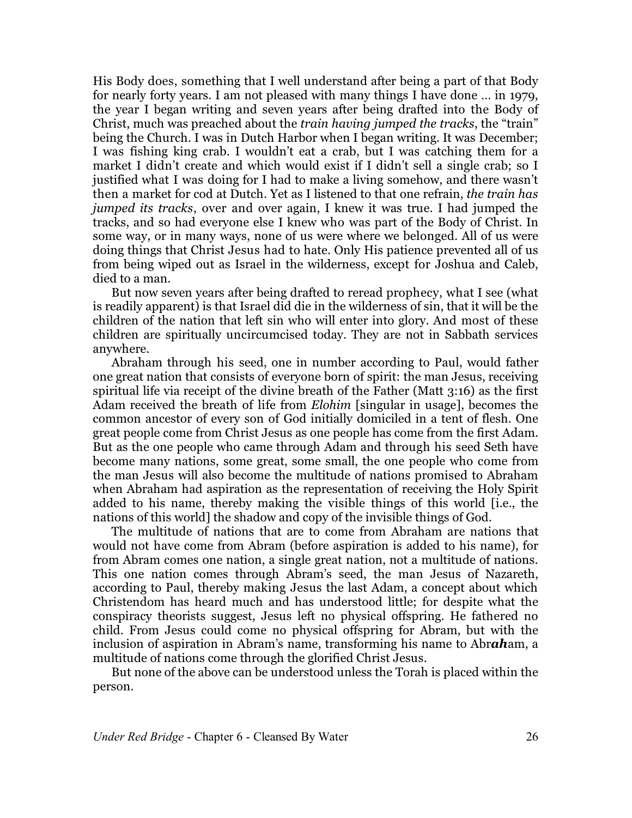His Body does, something that I well understand after being a part of that Body for nearly forty years. I am not pleased with many things I have done … in 1979, the year I began writing and seven years after being drafted into the Body of Christ, much was preached about the *train having jumped the tracks*, the "train" being the Church. I was in Dutch Harbor when I began writing. It was December; I was fishing king crab. I wouldn't eat a crab, but I was catching them for a market I didn't create and which would exist if I didn't sell a single crab; so I justified what I was doing for I had to make a living somehow, and there wasn't then a market for cod at Dutch. Yet as I listened to that one refrain, *the train has jumped its tracks*, over and over again, I knew it was true. I had jumped the tracks, and so had everyone else I knew who was part of the Body of Christ. In some way, or in many ways, none of us were where we belonged. All of us were doing things that Christ Jesus had to hate. Only His patience prevented all of us from being wiped out as Israel in the wilderness, except for Joshua and Caleb, died to a man.

But now seven years after being drafted to reread prophecy, what I see (what is readily apparent) is that Israel did die in the wilderness of sin, that it will be the children of the nation that left sin who will enter into glory. And most of these children are spiritually uncircumcised today. They are not in Sabbath services anywhere.

Abraham through his seed, one in number according to Paul, would father one great nation that consists of everyone born of spirit: the man Jesus, receiving spiritual life via receipt of the divine breath of the Father (Matt 3:16) as the first Adam received the breath of life from *Elohim* [singular in usage], becomes the common ancestor of every son of God initially domiciled in a tent of flesh. One great people come from Christ Jesus as one people has come from the first Adam. But as the one people who came through Adam and through his seed Seth have become many nations, some great, some small, the one people who come from the man Jesus will also become the multitude of nations promised to Abraham when Abraham had aspiration as the representation of receiving the Holy Spirit added to his name, thereby making the visible things of this world [i.e., the nations of this world] the shadow and copy of the invisible things of God.

The multitude of nations that are to come from Abraham are nations that would not have come from Abram (before aspiration is added to his name), for from Abram comes one nation, a single great nation, not a multitude of nations. This one nation comes through Abram's seed, the man Jesus of Nazareth, according to Paul, thereby making Jesus the last Adam, a concept about which Christendom has heard much and has understood little; for despite what the conspiracy theorists suggest, Jesus left no physical offspring. He fathered no child. From Jesus could come no physical offspring for Abram, but with the inclusion of aspiration in Abram's name, transforming his name to Abr*ah*am, a multitude of nations come through the glorified Christ Jesus.

But none of the above can be understood unless the Torah is placed within the person.